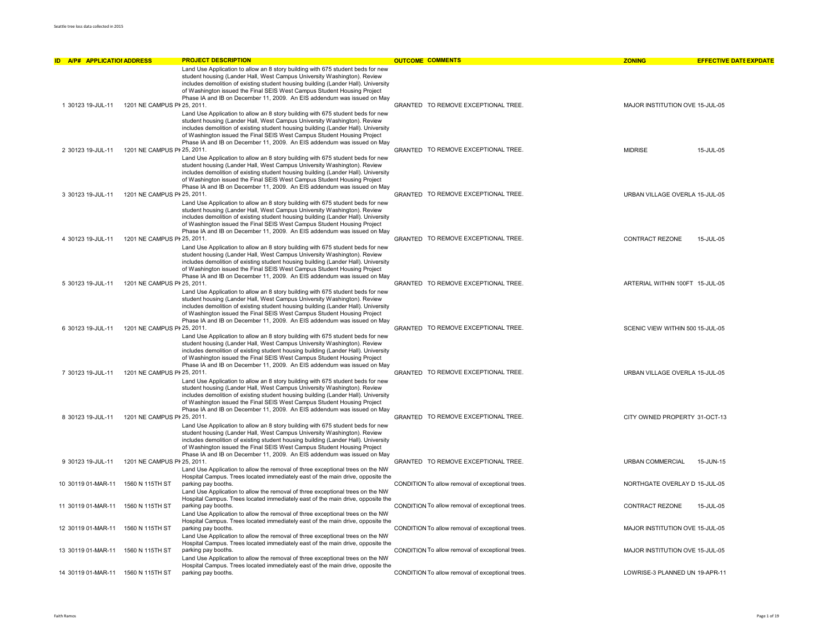| <b>ID A/P# APPLICATIOI ADDRESS</b> |                                    | <b>PROJECT DESCRIPTION</b>                                                                                                                                                                                                                                                                                                                                                                              | <b>OUTCOME COMMENTS</b>                          | <b>ZONING</b>                    | <b>EFFECTIVE DATE EXPDATE</b> |
|------------------------------------|------------------------------------|---------------------------------------------------------------------------------------------------------------------------------------------------------------------------------------------------------------------------------------------------------------------------------------------------------------------------------------------------------------------------------------------------------|--------------------------------------------------|----------------------------------|-------------------------------|
| 1 30123 19-JUL-11                  | 1201 NE CAMPUS PI 25, 2011.        | Land Use Application to allow an 8 story building with 675 student beds for new<br>student housing (Lander Hall, West Campus University Washington). Review<br>includes demolition of existing student housing building (Lander Hall). University<br>of Washington issued the Final SEIS West Campus Student Housing Project<br>Phase IA and IB on December 11, 2009. An EIS addendum was issued on May | GRANTED TO REMOVE EXCEPTIONAL TREE.              | MAJOR INSTITUTION OVE 15-JUL-05  |                               |
| 2 30123 19-JUL-11                  | 1201 NE CAMPUS PI 25, 2011.        | Land Use Application to allow an 8 story building with 675 student beds for new<br>student housing (Lander Hall, West Campus University Washington). Review<br>includes demolition of existing student housing building (Lander Hall). University<br>of Washington issued the Final SEIS West Campus Student Housing Project<br>Phase IA and IB on December 11, 2009. An EIS addendum was issued on May | GRANTED TO REMOVE EXCEPTIONAL TREE.              | <b>MIDRISE</b>                   | 15-JUL-05                     |
| 3 30123 19-JUL-11                  | 1201 NE CAMPUS PI 25, 2011.        | Land Use Application to allow an 8 story building with 675 student beds for new<br>student housing (Lander Hall, West Campus University Washington). Review<br>includes demolition of existing student housing building (Lander Hall). University<br>of Washington issued the Final SEIS West Campus Student Housing Project<br>Phase IA and IB on December 11, 2009. An EIS addendum was issued on May | GRANTED TO REMOVE EXCEPTIONAL TREE.              | URBAN VILLAGE OVERLA 15-JUL-05   |                               |
| 4 30123 19-JUL-11                  | 1201 NE CAMPUS PI 25, 2011.        | Land Use Application to allow an 8 story building with 675 student beds for new<br>student housing (Lander Hall, West Campus University Washington). Review<br>includes demolition of existing student housing building (Lander Hall). University<br>of Washington issued the Final SEIS West Campus Student Housing Project<br>Phase IA and IB on December 11, 2009. An EIS addendum was issued on May | GRANTED TO REMOVE EXCEPTIONAL TREE.              | CONTRACT REZONE                  | 15-JUL-05                     |
| 5 30123 19-JUL-11                  | 1201 NE CAMPUS PI 25, 2011.        | Land Use Application to allow an 8 story building with 675 student beds for new<br>student housing (Lander Hall, West Campus University Washington). Review<br>includes demolition of existing student housing building (Lander Hall). University<br>of Washington issued the Final SEIS West Campus Student Housing Project<br>Phase IA and IB on December 11, 2009. An EIS addendum was issued on May | GRANTED TO REMOVE EXCEPTIONAL TREE.              | ARTERIAL WITHIN 100FT 15-JUL-05  |                               |
|                                    |                                    | Land Use Application to allow an 8 story building with 675 student beds for new<br>student housing (Lander Hall, West Campus University Washington). Review<br>includes demolition of existing student housing building (Lander Hall). University<br>of Washington issued the Final SEIS West Campus Student Housing Project<br>Phase IA and IB on December 11, 2009. An EIS addendum was issued on May |                                                  |                                  |                               |
| 6 30123 19-JUL-11                  | 1201 NE CAMPUS PI 25, 2011.        | Land Use Application to allow an 8 story building with 675 student beds for new<br>student housing (Lander Hall, West Campus University Washington). Review<br>includes demolition of existing student housing building (Lander Hall). University<br>of Washington issued the Final SEIS West Campus Student Housing Project<br>Phase IA and IB on December 11, 2009. An EIS addendum was issued on May | GRANTED TO REMOVE EXCEPTIONAL TREE.              | SCENIC VIEW WITHIN 500 15-JUL-05 |                               |
| 7 30123 19-JUL-11                  | 1201 NE CAMPUS PI 25, 2011.        | Land Use Application to allow an 8 story building with 675 student beds for new<br>student housing (Lander Hall, West Campus University Washington). Review<br>includes demolition of existing student housing building (Lander Hall). University<br>of Washington issued the Final SEIS West Campus Student Housing Project<br>Phase IA and IB on December 11, 2009. An EIS addendum was issued on May | GRANTED TO REMOVE EXCEPTIONAL TREE.              | URBAN VILLAGE OVERLA 15-JUL-05   |                               |
| 8 30123 19-JUL-11                  | 1201 NE CAMPUS PI 25, 2011.        | Land Use Application to allow an 8 story building with 675 student beds for new<br>student housing (Lander Hall, West Campus University Washington). Review<br>includes demolition of existing student housing building (Lander Hall). University<br>of Washington issued the Final SEIS West Campus Student Housing Project<br>Phase IA and IB on December 11, 2009. An EIS addendum was issued on May | GRANTED TO REMOVE EXCEPTIONAL TREE.              | CITY OWNED PROPERTY 31-OCT-13    |                               |
| 9 30123 19-JUL-11                  | 1201 NE CAMPUS PI 25, 2011.        | Land Use Application to allow the removal of three exceptional trees on the NW                                                                                                                                                                                                                                                                                                                          | GRANTED TO REMOVE EXCEPTIONAL TREE.              | <b>URBAN COMMERCIAL</b>          | 15-JUN-15                     |
|                                    | 10 30119 01-MAR-11 1560 N 115TH ST | Hospital Campus. Trees located immediately east of the main drive, opposite the<br>parking pay booths.<br>Land Use Application to allow the removal of three exceptional trees on the NW                                                                                                                                                                                                                | CONDITION To allow removal of exceptional trees. | NORTHGATE OVERLAY D 15-JUL-05    |                               |
|                                    | 11 30119 01-MAR-11 1560 N 115TH ST | Hospital Campus. Trees located immediately east of the main drive, opposite the<br>parking pay booths.<br>Land Use Application to allow the removal of three exceptional trees on the NW                                                                                                                                                                                                                | CONDITION To allow removal of exceptional trees. | CONTRACT REZONE                  | 15-JUL-05                     |
| 12 30119 01-MAR-11                 | 1560 N 115TH ST                    | Hospital Campus. Trees located immediately east of the main drive, opposite the<br>parking pay booths.<br>Land Use Application to allow the removal of three exceptional trees on the NW                                                                                                                                                                                                                | CONDITION To allow removal of exceptional trees. | MAJOR INSTITUTION OVE 15-JUL-05  |                               |
|                                    | 13 30119 01-MAR-11 1560 N 115TH ST | Hospital Campus. Trees located immediately east of the main drive, opposite the<br>parking pay booths.<br>Land Use Application to allow the removal of three exceptional trees on the NW                                                                                                                                                                                                                | CONDITION To allow removal of exceptional trees. | MAJOR INSTITUTION OVE 15-JUL-05  |                               |
|                                    | 14 30119 01-MAR-11 1560 N 115TH ST | Hospital Campus. Trees located immediately east of the main drive, opposite the<br>parking pay booths.                                                                                                                                                                                                                                                                                                  | CONDITION To allow removal of exceptional trees. | LOWRISE-3 PLANNED UN 19-APR-11   |                               |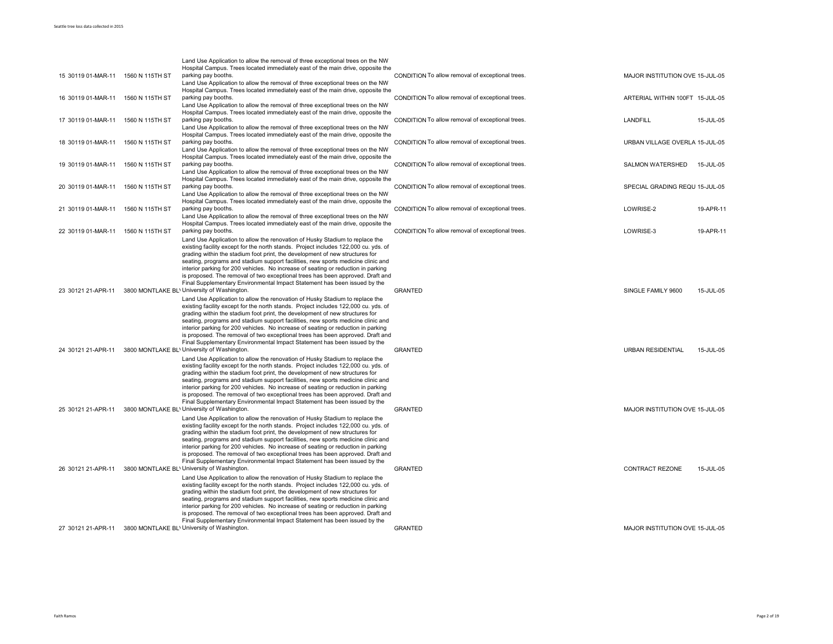|                                    |                 | Land Use Application to allow the removal of three exceptional trees on the NW                                                                                      |                                                  |                                 |           |
|------------------------------------|-----------------|---------------------------------------------------------------------------------------------------------------------------------------------------------------------|--------------------------------------------------|---------------------------------|-----------|
|                                    |                 | Hospital Campus. Trees located immediately east of the main drive, opposite the                                                                                     |                                                  |                                 |           |
| 15 30119 01-MAR-11                 | 1560 N 115TH ST | parking pay booths.                                                                                                                                                 | CONDITION To allow removal of exceptional trees. | MAJOR INSTITUTION OVE 15-JUL-05 |           |
|                                    |                 | Land Use Application to allow the removal of three exceptional trees on the NW                                                                                      |                                                  |                                 |           |
| 16 30119 01-MAR-11                 | 1560 N 115TH ST | Hospital Campus. Trees located immediately east of the main drive, opposite the<br>parking pay booths.                                                              | CONDITION To allow removal of exceptional trees. | ARTERIAL WITHIN 100FT 15-JUL-05 |           |
|                                    |                 | Land Use Application to allow the removal of three exceptional trees on the NW                                                                                      |                                                  |                                 |           |
|                                    |                 | Hospital Campus. Trees located immediately east of the main drive, opposite the                                                                                     |                                                  |                                 |           |
| 17 30119 01-MAR-11                 | 1560 N 115TH ST | parking pay booths.                                                                                                                                                 | CONDITION To allow removal of exceptional trees. | <b>LANDFILL</b>                 | 15-JUL-05 |
|                                    |                 | Land Use Application to allow the removal of three exceptional trees on the NW                                                                                      |                                                  |                                 |           |
|                                    |                 | Hospital Campus. Trees located immediately east of the main drive, opposite the                                                                                     |                                                  |                                 |           |
| 18 30119 01-MAR-11                 | 1560 N 115TH ST | parking pay booths.                                                                                                                                                 | CONDITION To allow removal of exceptional trees. | URBAN VILLAGE OVERLA 15-JUL-05  |           |
|                                    |                 | Land Use Application to allow the removal of three exceptional trees on the NW                                                                                      |                                                  |                                 |           |
|                                    |                 | Hospital Campus. Trees located immediately east of the main drive, opposite the                                                                                     |                                                  |                                 |           |
| 19 30119 01-MAR-11                 | 1560 N 115TH ST | parking pay booths.                                                                                                                                                 | CONDITION To allow removal of exceptional trees. | SALMON WATERSHED                | 15-JUL-05 |
|                                    |                 | Land Use Application to allow the removal of three exceptional trees on the NW                                                                                      |                                                  |                                 |           |
|                                    |                 | Hospital Campus. Trees located immediately east of the main drive, opposite the                                                                                     |                                                  |                                 |           |
| 20 30119 01-MAR-11                 | 1560 N 115TH ST | parking pay booths.                                                                                                                                                 | CONDITION To allow removal of exceptional trees. | SPECIAL GRADING REQU 15-JUL-05  |           |
|                                    |                 | Land Use Application to allow the removal of three exceptional trees on the NW                                                                                      |                                                  |                                 |           |
|                                    |                 | Hospital Campus. Trees located immediately east of the main drive, opposite the                                                                                     |                                                  |                                 |           |
| 21 30119 01-MAR-11                 | 1560 N 115TH ST | parking pay booths.                                                                                                                                                 | CONDITION To allow removal of exceptional trees. | LOWRISE-2                       | 19-APR-11 |
|                                    |                 | Land Use Application to allow the removal of three exceptional trees on the NW                                                                                      |                                                  |                                 |           |
|                                    |                 | Hospital Campus. Trees located immediately east of the main drive, opposite the                                                                                     |                                                  |                                 |           |
| 22 30119 01-MAR-11 1560 N 115TH ST |                 | parking pay booths.                                                                                                                                                 | CONDITION To allow removal of exceptional trees. | LOWRISE-3                       | 19-APR-11 |
|                                    |                 | Land Use Application to allow the renovation of Husky Stadium to replace the                                                                                        |                                                  |                                 |           |
|                                    |                 | existing facility except for the north stands. Project includes 122,000 cu. yds. of                                                                                 |                                                  |                                 |           |
|                                    |                 | grading within the stadium foot print, the development of new structures for                                                                                        |                                                  |                                 |           |
|                                    |                 | seating, programs and stadium support facilities, new sports medicine clinic and                                                                                    |                                                  |                                 |           |
|                                    |                 | interior parking for 200 vehicles. No increase of seating or reduction in parking                                                                                   |                                                  |                                 |           |
|                                    |                 | is proposed. The removal of two exceptional trees has been approved. Draft and<br>Final Supplementary Environmental Impact Statement has been issued by the         |                                                  |                                 |           |
| 23 30121 21-APR-11                 |                 | 3800 MONTLAKE BL' University of Washington.                                                                                                                         | <b>GRANTED</b>                                   | SINGLE FAMILY 9600              | 15-JUL-05 |
|                                    |                 |                                                                                                                                                                     |                                                  |                                 |           |
|                                    |                 | Land Use Application to allow the renovation of Husky Stadium to replace the<br>existing facility except for the north stands. Project includes 122,000 cu. yds. of |                                                  |                                 |           |
|                                    |                 | grading within the stadium foot print, the development of new structures for                                                                                        |                                                  |                                 |           |
|                                    |                 | seating, programs and stadium support facilities, new sports medicine clinic and                                                                                    |                                                  |                                 |           |
|                                    |                 | interior parking for 200 vehicles. No increase of seating or reduction in parking                                                                                   |                                                  |                                 |           |
|                                    |                 | is proposed. The removal of two exceptional trees has been approved. Draft and                                                                                      |                                                  |                                 |           |
|                                    |                 | Final Supplementary Environmental Impact Statement has been issued by the                                                                                           |                                                  |                                 |           |
| 24 30121 21-APR-11                 |                 | 3800 MONTLAKE BL' University of Washington.                                                                                                                         | <b>GRANTED</b>                                   | <b>URBAN RESIDENTIAL</b>        | 15-JUL-05 |
|                                    |                 | Land Use Application to allow the renovation of Husky Stadium to replace the                                                                                        |                                                  |                                 |           |
|                                    |                 | existing facility except for the north stands. Project includes 122,000 cu. yds. of                                                                                 |                                                  |                                 |           |
|                                    |                 | grading within the stadium foot print, the development of new structures for                                                                                        |                                                  |                                 |           |
|                                    |                 | seating, programs and stadium support facilities, new sports medicine clinic and                                                                                    |                                                  |                                 |           |
|                                    |                 | interior parking for 200 vehicles. No increase of seating or reduction in parking                                                                                   |                                                  |                                 |           |
|                                    |                 | is proposed. The removal of two exceptional trees has been approved. Draft and                                                                                      |                                                  |                                 |           |
|                                    |                 | Final Supplementary Environmental Impact Statement has been issued by the                                                                                           |                                                  |                                 |           |
| 25 30121 21-APR-11                 |                 | 3800 MONTLAKE BL' University of Washington.                                                                                                                         | <b>GRANTED</b>                                   | MAJOR INSTITUTION OVE 15-JUL-05 |           |
|                                    |                 | Land Use Application to allow the renovation of Husky Stadium to replace the                                                                                        |                                                  |                                 |           |
|                                    |                 | existing facility except for the north stands. Project includes 122,000 cu. yds. of                                                                                 |                                                  |                                 |           |
|                                    |                 | grading within the stadium foot print, the development of new structures for                                                                                        |                                                  |                                 |           |
|                                    |                 | seating, programs and stadium support facilities, new sports medicine clinic and                                                                                    |                                                  |                                 |           |
|                                    |                 | interior parking for 200 vehicles. No increase of seating or reduction in parking<br>is proposed. The removal of two exceptional trees has been approved. Draft and |                                                  |                                 |           |
|                                    |                 | Final Supplementary Environmental Impact Statement has been issued by the                                                                                           |                                                  |                                 |           |
| 26 30121 21-APR-11                 |                 | 3800 MONTLAKE BL' University of Washington.                                                                                                                         | <b>GRANTED</b>                                   | CONTRACT REZONE                 | 15-JUL-05 |
|                                    |                 | Land Use Application to allow the renovation of Husky Stadium to replace the                                                                                        |                                                  |                                 |           |
|                                    |                 | existing facility except for the north stands. Project includes 122,000 cu. yds. of                                                                                 |                                                  |                                 |           |
|                                    |                 | grading within the stadium foot print, the development of new structures for                                                                                        |                                                  |                                 |           |
|                                    |                 | seating, programs and stadium support facilities, new sports medicine clinic and                                                                                    |                                                  |                                 |           |
|                                    |                 | interior parking for 200 vehicles. No increase of seating or reduction in parking                                                                                   |                                                  |                                 |           |
|                                    |                 | is proposed. The removal of two exceptional trees has been approved. Draft and                                                                                      |                                                  |                                 |           |
|                                    |                 | Final Supplementary Environmental Impact Statement has been issued by the                                                                                           |                                                  |                                 |           |
| 27 30121 21-APR-11                 |                 | 3800 MONTLAKE BL' University of Washington.                                                                                                                         | <b>GRANTED</b>                                   | MAJOR INSTITUTION OVE 15-JUL-05 |           |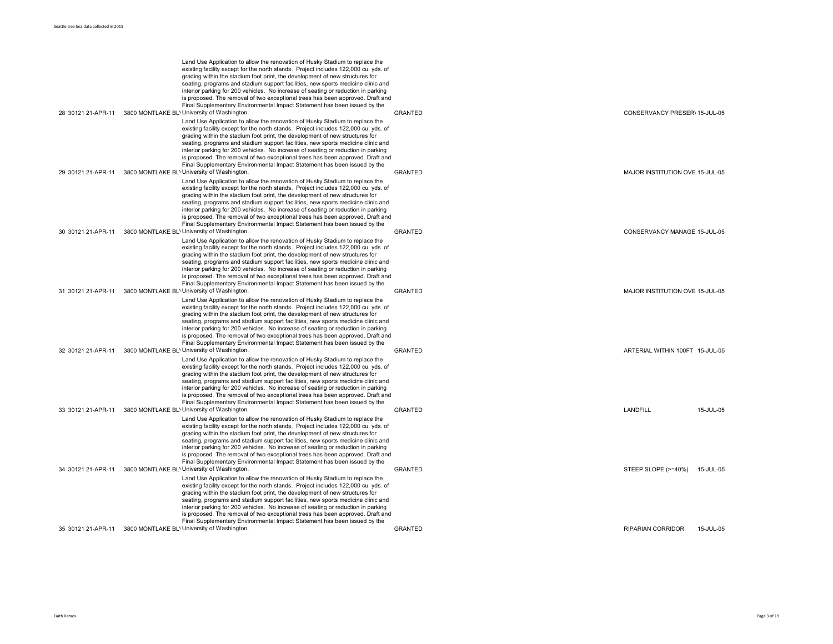|                    | Land Use Application to allow the renovation of Husky Stadium to replace the<br>existing facility except for the north stands. Project includes 122,000 cu. yds. of<br>grading within the stadium foot print, the development of new structures for                                                                                                                                                                                                                                                                                                                                         |                |                                 |           |
|--------------------|---------------------------------------------------------------------------------------------------------------------------------------------------------------------------------------------------------------------------------------------------------------------------------------------------------------------------------------------------------------------------------------------------------------------------------------------------------------------------------------------------------------------------------------------------------------------------------------------|----------------|---------------------------------|-----------|
|                    | seating, programs and stadium support facilities, new sports medicine clinic and<br>interior parking for 200 vehicles. No increase of seating or reduction in parking<br>is proposed. The removal of two exceptional trees has been approved. Draft and                                                                                                                                                                                                                                                                                                                                     |                |                                 |           |
| 28 30121 21-APR-11 | Final Supplementary Environmental Impact Statement has been issued by the<br>3800 MONTLAKE BL' University of Washington.                                                                                                                                                                                                                                                                                                                                                                                                                                                                    | <b>GRANTED</b> | CONSERVANCY PRESER\ 15-JUL-05   |           |
|                    | Land Use Application to allow the renovation of Husky Stadium to replace the<br>existing facility except for the north stands. Project includes 122,000 cu. yds. of<br>grading within the stadium foot print, the development of new structures for<br>seating, programs and stadium support facilities, new sports medicine clinic and                                                                                                                                                                                                                                                     |                |                                 |           |
|                    | interior parking for 200 vehicles. No increase of seating or reduction in parking<br>is proposed. The removal of two exceptional trees has been approved. Draft and<br>Final Supplementary Environmental Impact Statement has been issued by the                                                                                                                                                                                                                                                                                                                                            |                |                                 |           |
| 29 30121 21-APR-11 | 3800 MONTLAKE BL' University of Washington.                                                                                                                                                                                                                                                                                                                                                                                                                                                                                                                                                 | <b>GRANTED</b> | MAJOR INSTITUTION OVE 15-JUL-05 |           |
|                    | Land Use Application to allow the renovation of Husky Stadium to replace the<br>existing facility except for the north stands. Project includes 122,000 cu. yds. of<br>grading within the stadium foot print, the development of new structures for<br>seating, programs and stadium support facilities, new sports medicine clinic and<br>interior parking for 200 vehicles. No increase of seating or reduction in parking<br>is proposed. The removal of two exceptional trees has been approved. Draft and                                                                              |                |                                 |           |
| 30 30121 21-APR-11 | Final Supplementary Environmental Impact Statement has been issued by the<br>3800 MONTLAKE BL' University of Washington.                                                                                                                                                                                                                                                                                                                                                                                                                                                                    | <b>GRANTED</b> | CONSERVANCY MANAGE 15-JUL-05    |           |
|                    | Land Use Application to allow the renovation of Husky Stadium to replace the<br>existing facility except for the north stands. Project includes 122,000 cu. yds. of<br>grading within the stadium foot print, the development of new structures for<br>seating, programs and stadium support facilities, new sports medicine clinic and<br>interior parking for 200 vehicles. No increase of seating or reduction in parking<br>is proposed. The removal of two exceptional trees has been approved. Draft and<br>Final Supplementary Environmental Impact Statement has been issued by the |                |                                 |           |
| 31 30121 21-APR-11 | 3800 MONTLAKE BL' University of Washington.                                                                                                                                                                                                                                                                                                                                                                                                                                                                                                                                                 | <b>GRANTED</b> | MAJOR INSTITUTION OVE 15-JUL-05 |           |
|                    | Land Use Application to allow the renovation of Husky Stadium to replace the<br>existing facility except for the north stands. Project includes 122,000 cu. yds. of<br>grading within the stadium foot print, the development of new structures for<br>seating, programs and stadium support facilities, new sports medicine clinic and<br>interior parking for 200 vehicles. No increase of seating or reduction in parking<br>is proposed. The removal of two exceptional trees has been approved. Draft and<br>Final Supplementary Environmental Impact Statement has been issued by the |                |                                 |           |
| 32 30121 21-APR-11 | 3800 MONTLAKE BL' University of Washington.                                                                                                                                                                                                                                                                                                                                                                                                                                                                                                                                                 | <b>GRANTED</b> | ARTERIAL WITHIN 100FT 15-JUL-05 |           |
|                    | Land Use Application to allow the renovation of Husky Stadium to replace the<br>existing facility except for the north stands. Project includes 122,000 cu. yds. of<br>grading within the stadium foot print, the development of new structures for<br>seating, programs and stadium support facilities, new sports medicine clinic and<br>interior parking for 200 vehicles. No increase of seating or reduction in parking<br>is proposed. The removal of two exceptional trees has been approved. Draft and<br>Final Supplementary Environmental Impact Statement has been issued by the |                |                                 |           |
| 33 30121 21-APR-11 | 3800 MONTLAKE BL' University of Washington.                                                                                                                                                                                                                                                                                                                                                                                                                                                                                                                                                 | <b>GRANTED</b> | LANDFILL                        | 15-JUL-05 |
|                    | Land Use Application to allow the renovation of Husky Stadium to replace the<br>existing facility except for the north stands. Project includes 122,000 cu. yds. of<br>grading within the stadium foot print, the development of new structures for<br>seating, programs and stadium support facilities, new sports medicine clinic and<br>interior parking for 200 vehicles. No increase of seating or reduction in parking<br>is proposed. The removal of two exceptional trees has been approved. Draft and<br>Final Supplementary Environmental Impact Statement has been issued by the |                |                                 |           |
| 34 30121 21-APR-11 | 3800 MONTLAKE BL' University of Washington.                                                                                                                                                                                                                                                                                                                                                                                                                                                                                                                                                 | GRANTED        | STEEP SLOPE (>=40%) 15-JUL-05   |           |
|                    | Land Use Application to allow the renovation of Husky Stadium to replace the<br>existing facility except for the north stands. Project includes 122,000 cu. yds. of<br>grading within the stadium foot print, the development of new structures for<br>seating, programs and stadium support facilities, new sports medicine clinic and<br>interior parking for 200 vehicles. No increase of seating or reduction in parking<br>is proposed. The removal of two exceptional trees has been approved. Draft and                                                                              |                |                                 |           |
| 35 30121 21-APR-11 | Final Supplementary Environmental Impact Statement has been issued by the<br>3800 MONTLAKE BL' University of Washington.                                                                                                                                                                                                                                                                                                                                                                                                                                                                    | <b>GRANTED</b> | <b>RIPARIAN CORRIDOR</b>        | 15-JUL-05 |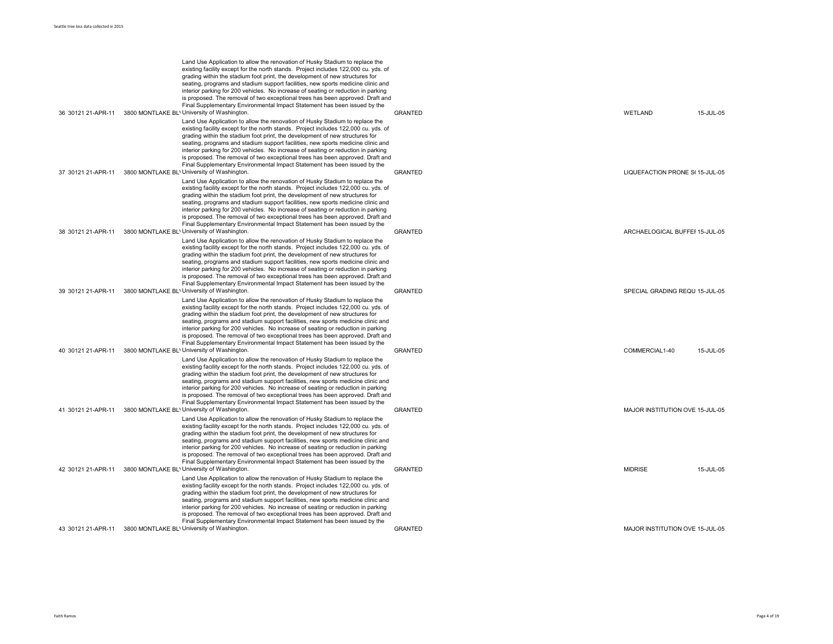|                    | Land Use Application to allow the renovation of Husky Stadium to replace the<br>existing facility except for the north stands. Project includes 122,000 cu. yds. of<br>grading within the stadium foot print, the development of new structures for<br>seating, programs and stadium support facilities, new sports medicine clinic and<br>interior parking for 200 vehicles. No increase of seating or reduction in parking<br>is proposed. The removal of two exceptional trees has been approved. Draft and                                                                              |                |                                 |
|--------------------|---------------------------------------------------------------------------------------------------------------------------------------------------------------------------------------------------------------------------------------------------------------------------------------------------------------------------------------------------------------------------------------------------------------------------------------------------------------------------------------------------------------------------------------------------------------------------------------------|----------------|---------------------------------|
| 36 30121 21-APR-11 | Final Supplementary Environmental Impact Statement has been issued by the<br>3800 MONTLAKE BL' University of Washington.                                                                                                                                                                                                                                                                                                                                                                                                                                                                    | <b>GRANTED</b> | 15-JUL-05<br>WETLAND            |
|                    | Land Use Application to allow the renovation of Husky Stadium to replace the<br>existing facility except for the north stands. Project includes 122,000 cu. yds. of<br>grading within the stadium foot print, the development of new structures for<br>seating, programs and stadium support facilities, new sports medicine clinic and<br>interior parking for 200 vehicles. No increase of seating or reduction in parking<br>is proposed. The removal of two exceptional trees has been approved. Draft and<br>Final Supplementary Environmental Impact Statement has been issued by the |                |                                 |
| 37 30121 21-APR-11 | 3800 MONTLAKE BL' University of Washington.                                                                                                                                                                                                                                                                                                                                                                                                                                                                                                                                                 | <b>GRANTED</b> | LIQUEFACTION PRONE S(15-JUL-05  |
|                    | Land Use Application to allow the renovation of Husky Stadium to replace the<br>existing facility except for the north stands. Project includes 122,000 cu. yds. of<br>grading within the stadium foot print, the development of new structures for<br>seating, programs and stadium support facilities, new sports medicine clinic and<br>interior parking for 200 vehicles. No increase of seating or reduction in parking<br>is proposed. The removal of two exceptional trees has been approved. Draft and<br>Final Supplementary Environmental Impact Statement has been issued by the |                |                                 |
| 38 30121 21-APR-11 | 3800 MONTLAKE BL' University of Washington.                                                                                                                                                                                                                                                                                                                                                                                                                                                                                                                                                 | <b>GRANTED</b> | ARCHAELOGICAL BUFFEI 15-JUL-05  |
|                    | Land Use Application to allow the renovation of Husky Stadium to replace the<br>existing facility except for the north stands. Project includes 122,000 cu. yds. of<br>grading within the stadium foot print, the development of new structures for<br>seating, programs and stadium support facilities, new sports medicine clinic and<br>interior parking for 200 vehicles. No increase of seating or reduction in parking<br>is proposed. The removal of two exceptional trees has been approved. Draft and<br>Final Supplementary Environmental Impact Statement has been issued by the |                |                                 |
| 39 30121 21-APR-11 | 3800 MONTLAKE BL' University of Washington.                                                                                                                                                                                                                                                                                                                                                                                                                                                                                                                                                 | <b>GRANTED</b> | SPECIAL GRADING REQU 15-JUL-05  |
|                    | Land Use Application to allow the renovation of Husky Stadium to replace the<br>existing facility except for the north stands. Project includes 122,000 cu. yds. of<br>grading within the stadium foot print, the development of new structures for<br>seating, programs and stadium support facilities, new sports medicine clinic and<br>interior parking for 200 vehicles. No increase of seating or reduction in parking<br>is proposed. The removal of two exceptional trees has been approved. Draft and<br>Final Supplementary Environmental Impact Statement has been issued by the |                |                                 |
| 40 30121 21-APR-11 | 3800 MONTLAKE BL' University of Washington.                                                                                                                                                                                                                                                                                                                                                                                                                                                                                                                                                 | <b>GRANTED</b> | COMMERCIAL1-40<br>15-JUL-05     |
|                    | Land Use Application to allow the renovation of Husky Stadium to replace the<br>existing facility except for the north stands. Project includes 122,000 cu. yds. of<br>grading within the stadium foot print, the development of new structures for<br>seating, programs and stadium support facilities, new sports medicine clinic and<br>interior parking for 200 vehicles. No increase of seating or reduction in parking<br>is proposed. The removal of two exceptional trees has been approved. Draft and<br>Final Supplementary Environmental Impact Statement has been issued by the |                |                                 |
| 41 30121 21-APR-11 | 3800 MONTLAKE BL' University of Washington.                                                                                                                                                                                                                                                                                                                                                                                                                                                                                                                                                 | <b>GRANTED</b> | MAJOR INSTITUTION OVE 15-JUL-05 |
|                    | Land Use Application to allow the renovation of Husky Stadium to replace the<br>existing facility except for the north stands. Project includes 122,000 cu. yds. of<br>grading within the stadium foot print, the development of new structures for<br>seating, programs and stadium support facilities, new sports medicine clinic and<br>interior parking for 200 vehicles. No increase of seating or reduction in parking<br>is proposed. The removal of two exceptional trees has been approved. Draft and<br>Final Supplementary Environmental Impact Statement has been issued by the |                |                                 |
| 42 30121 21-APR-11 | 3800 MONTLAKE BL' University of Washington.                                                                                                                                                                                                                                                                                                                                                                                                                                                                                                                                                 | <b>GRANTED</b> | <b>MIDRISE</b><br>15-JUL-05     |
|                    | Land Use Application to allow the renovation of Husky Stadium to replace the<br>existing facility except for the north stands. Project includes 122,000 cu. yds. of<br>grading within the stadium foot print, the development of new structures for<br>seating, programs and stadium support facilities, new sports medicine clinic and<br>interior parking for 200 vehicles. No increase of seating or reduction in parking<br>is proposed. The removal of two exceptional trees has been approved. Draft and<br>Final Supplementary Environmental Impact Statement has been issued by the |                |                                 |
| 43 30121 21-APR-11 | 3800 MONTLAKE BL' University of Washington.                                                                                                                                                                                                                                                                                                                                                                                                                                                                                                                                                 | <b>GRANTED</b> | MAJOR INSTITUTION OVE 15-JUL-05 |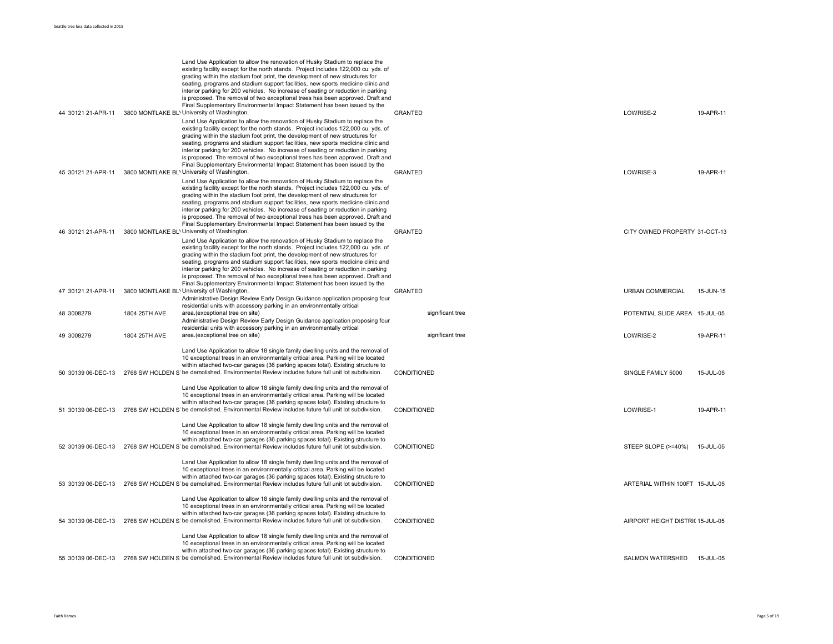| 44 30121 21-APR-11 |               | Land Use Application to allow the renovation of Husky Stadium to replace the<br>existing facility except for the north stands. Project includes 122,000 cu. yds. of<br>grading within the stadium foot print, the development of new structures for<br>seating, programs and stadium support facilities, new sports medicine clinic and<br>interior parking for 200 vehicles. No increase of seating or reduction in parking<br>is proposed. The removal of two exceptional trees has been approved. Draft and<br>Final Supplementary Environmental Impact Statement has been issued by the<br>3800 MONTLAKE BL' University of Washington. | <b>GRANTED</b>   | LOWRISE-2                        | 19-APR-11 |
|--------------------|---------------|--------------------------------------------------------------------------------------------------------------------------------------------------------------------------------------------------------------------------------------------------------------------------------------------------------------------------------------------------------------------------------------------------------------------------------------------------------------------------------------------------------------------------------------------------------------------------------------------------------------------------------------------|------------------|----------------------------------|-----------|
| 45 30121 21-APR-11 |               | Land Use Application to allow the renovation of Husky Stadium to replace the<br>existing facility except for the north stands. Project includes 122,000 cu. yds. of<br>grading within the stadium foot print, the development of new structures for<br>seating, programs and stadium support facilities, new sports medicine clinic and<br>interior parking for 200 vehicles. No increase of seating or reduction in parking<br>is proposed. The removal of two exceptional trees has been approved. Draft and<br>Final Supplementary Environmental Impact Statement has been issued by the<br>3800 MONTLAKE BL' University of Washington. | <b>GRANTED</b>   | LOWRISE-3                        | 19-APR-11 |
|                    |               | Land Use Application to allow the renovation of Husky Stadium to replace the<br>existing facility except for the north stands. Project includes 122,000 cu. yds. of<br>grading within the stadium foot print, the development of new structures for<br>seating, programs and stadium support facilities, new sports medicine clinic and<br>interior parking for 200 vehicles. No increase of seating or reduction in parking<br>is proposed. The removal of two exceptional trees has been approved. Draft and<br>Final Supplementary Environmental Impact Statement has been issued by the                                                |                  |                                  |           |
| 46 30121 21-APR-11 |               | 3800 MONTLAKE BL' University of Washington.<br>Land Use Application to allow the renovation of Husky Stadium to replace the<br>existing facility except for the north stands. Project includes 122,000 cu. yds. of<br>grading within the stadium foot print, the development of new structures for<br>seating, programs and stadium support facilities, new sports medicine clinic and<br>interior parking for 200 vehicles. No increase of seating or reduction in parking<br>is proposed. The removal of two exceptional trees has been approved. Draft and<br>Final Supplementary Environmental Impact Statement has been issued by the | <b>GRANTED</b>   | CITY OWNED PROPERTY 31-OCT-13    |           |
| 47 30121 21-APR-11 |               | 3800 MONTLAKE BL' University of Washington.<br>Administrative Design Review Early Design Guidance application proposing four<br>residential units with accessory parking in an environmentally critical                                                                                                                                                                                                                                                                                                                                                                                                                                    | <b>GRANTED</b>   | <b>URBAN COMMERCIAL</b>          | 15-JUN-15 |
| 48 3008279         | 1804 25TH AVE | area.(exceptional tree on site)<br>Administrative Design Review Early Design Guidance application proposing four<br>residential units with accessory parking in an environmentally critical                                                                                                                                                                                                                                                                                                                                                                                                                                                | significant tree | POTENTIAL SLIDE AREA 15-JUL-05   |           |
| 49 3008279         | 1804 25TH AVE | area.(exceptional tree on site)                                                                                                                                                                                                                                                                                                                                                                                                                                                                                                                                                                                                            | significant tree | LOWRISE-2                        | 19-APR-11 |
| 50 30139 06-DEC-13 |               | Land Use Application to allow 18 single family dwelling units and the removal of<br>10 exceptional trees in an environmentally critical area. Parking will be located<br>within attached two-car garages (36 parking spaces total). Existing structure to<br>2768 SW HOLDEN S be demolished. Environmental Review includes future full unit lot subdivision.                                                                                                                                                                                                                                                                               | CONDITIONED      | SINGLE FAMILY 5000               | 15-JUL-05 |
| 51 30139 06-DEC-13 |               | Land Use Application to allow 18 single family dwelling units and the removal of<br>10 exceptional trees in an environmentally critical area. Parking will be located<br>within attached two-car garages (36 parking spaces total). Existing structure to<br>2768 SW HOLDEN S be demolished. Environmental Review includes future full unit lot subdivision.                                                                                                                                                                                                                                                                               | CONDITIONED      | LOWRISE-1                        | 19-APR-11 |
| 52 30139 06-DEC-13 |               | Land Use Application to allow 18 single family dwelling units and the removal of<br>10 exceptional trees in an environmentally critical area. Parking will be located<br>within attached two-car garages (36 parking spaces total). Existing structure to<br>2768 SW HOLDEN S' be demolished. Environmental Review includes future full unit lot subdivision.                                                                                                                                                                                                                                                                              | CONDITIONED      | STEEP SLOPE (>=40%)              | 15-JUL-05 |
|                    |               | Land Use Application to allow 18 single family dwelling units and the removal of<br>10 exceptional trees in an environmentally critical area. Parking will be located<br>within attached two-car garages (36 parking spaces total). Existing structure to<br>53 30139 06-DEC-13 2768 SW HOLDEN S be demolished. Environmental Review includes future full unit lot subdivision.                                                                                                                                                                                                                                                            | CONDITIONED      | ARTERIAL WITHIN 100FT 15-JUL-05  |           |
| 54 30139 06-DEC-13 |               | Land Use Application to allow 18 single family dwelling units and the removal of<br>10 exceptional trees in an environmentally critical area. Parking will be located<br>within attached two-car garages (36 parking spaces total). Existing structure to<br>2768 SW HOLDEN S be demolished. Environmental Review includes future full unit lot subdivision.                                                                                                                                                                                                                                                                               | CONDITIONED      | AIRPORT HEIGHT DISTRIC 15-JUL-05 |           |
|                    |               | Land Use Application to allow 18 single family dwelling units and the removal of<br>10 exceptional trees in an environmentally critical area. Parking will be located<br>within attached two-car garages (36 parking spaces total). Existing structure to                                                                                                                                                                                                                                                                                                                                                                                  |                  |                                  |           |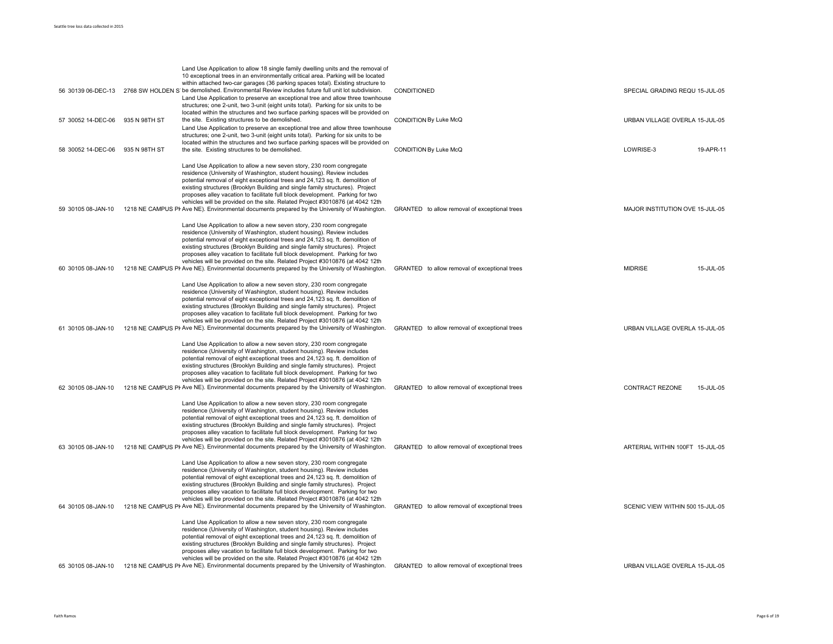|                    |               | Land Use Application to allow 18 single family dwelling units and the removal of<br>10 exceptional trees in an environmentally critical area. Parking will be located<br>within attached two-car garages (36 parking spaces total). Existing structure to<br>56 30139 06-DEC-13 2768 SW HOLDEN S' be demolished. Environmental Review includes future full unit lot subdivision.                                                                                                                                                                                                                                                                    | CONDITIONED                                   | SPECIAL GRADING REQU 15-JUL-05      |
|--------------------|---------------|-----------------------------------------------------------------------------------------------------------------------------------------------------------------------------------------------------------------------------------------------------------------------------------------------------------------------------------------------------------------------------------------------------------------------------------------------------------------------------------------------------------------------------------------------------------------------------------------------------------------------------------------------------|-----------------------------------------------|-------------------------------------|
|                    |               | Land Use Application to preserve an exceptional tree and allow three townhouse<br>structures; one 2-unit, two 3-unit (eight units total). Parking for six units to be<br>located within the structures and two surface parking spaces will be provided on                                                                                                                                                                                                                                                                                                                                                                                           |                                               |                                     |
| 57 30052 14-DEC-06 | 935 N 98TH ST | the site. Existing structures to be demolished.<br>Land Use Application to preserve an exceptional tree and allow three townhouse<br>structures; one 2-unit, two 3-unit (eight units total). Parking for six units to be                                                                                                                                                                                                                                                                                                                                                                                                                            | CONDITION By Luke McQ                         | URBAN VILLAGE OVERLA 15-JUL-05      |
| 58 30052 14-DEC-06 | 935 N 98TH ST | located within the structures and two surface parking spaces will be provided on<br>the site. Existing structures to be demolished.                                                                                                                                                                                                                                                                                                                                                                                                                                                                                                                 | CONDITION By Luke McQ                         | LOWRISE-3<br>19-APR-11              |
| 59 30105 08-JAN-10 |               | Land Use Application to allow a new seven story, 230 room congregate<br>residence (University of Washington, student housing). Review includes<br>potential removal of eight exceptional trees and 24,123 sq. ft. demolition of<br>existing structures (Brooklyn Building and single family structures). Project<br>proposes alley vacation to facilitate full block development. Parking for two<br>vehicles will be provided on the site. Related Project #3010876 (at 4042 12th<br>1218 NE CAMPUS PI Ave NE). Environmental documents prepared by the University of Washington.                                                                  | GRANTED to allow removal of exceptional trees | MAJOR INSTITUTION OVE 15-JUL-05     |
| 60 30105 08-JAN-10 |               | Land Use Application to allow a new seven story, 230 room congregate<br>residence (University of Washington, student housing). Review includes<br>potential removal of eight exceptional trees and 24,123 sq. ft. demolition of<br>existing structures (Brooklyn Building and single family structures). Project<br>proposes alley vacation to facilitate full block development. Parking for two<br>vehicles will be provided on the site. Related Project #3010876 (at 4042 12th<br>1218 NE CAMPUS PI Ave NE). Environmental documents prepared by the University of Washington.                                                                  | GRANTED to allow removal of exceptional trees | <b>MIDRISE</b><br>15-JUL-05         |
| 61 30105 08-JAN-10 |               | Land Use Application to allow a new seven story, 230 room congregate<br>residence (University of Washington, student housing). Review includes<br>potential removal of eight exceptional trees and 24,123 sq. ft. demolition of<br>existing structures (Brooklyn Building and single family structures). Project<br>proposes alley vacation to facilitate full block development. Parking for two<br>vehicles will be provided on the site. Related Project #3010876 (at 4042 12th<br>1218 NE CAMPUS PI Ave NE). Environmental documents prepared by the University of Washington.                                                                  | GRANTED to allow removal of exceptional trees | URBAN VILLAGE OVERLA 15-JUL-05      |
| 62 30105 08-JAN-10 |               | Land Use Application to allow a new seven story, 230 room congregate<br>residence (University of Washington, student housing). Review includes<br>potential removal of eight exceptional trees and 24,123 sq. ft. demolition of<br>existing structures (Brooklyn Building and single family structures). Project<br>proposes alley vacation to facilitate full block development. Parking for two<br>vehicles will be provided on the site. Related Project #3010876 (at 4042 12th<br>1218 NE CAMPUS PI Ave NE). Environmental documents prepared by the University of Washington.                                                                  | GRANTED to allow removal of exceptional trees | <b>CONTRACT REZONE</b><br>15-JUL-05 |
| 63 30105 08-JAN-10 |               | Land Use Application to allow a new seven story, 230 room congregate<br>residence (University of Washington, student housing). Review includes<br>potential removal of eight exceptional trees and 24,123 sq. ft. demolition of<br>existing structures (Brooklyn Building and single family structures). Project<br>proposes alley vacation to facilitate full block development. Parking for two<br>vehicles will be provided on the site. Related Project #3010876 (at 4042 12th<br>1218 NE CAMPUS PI Ave NE). Environmental documents prepared by the University of Washington.                                                                  | GRANTED to allow removal of exceptional trees | ARTERIAL WITHIN 100FT 15-JUL-05     |
| 64 30105 08-JAN-10 |               | Land Use Application to allow a new seven story, 230 room congregate<br>residence (University of Washington, student housing). Review includes<br>potential removal of eight exceptional trees and 24,123 sq. ft. demolition of<br>existing structures (Brooklyn Building and single family structures). Project<br>proposes alley vacation to facilitate full block development. Parking for two<br>vehicles will be provided on the site. Related Project #3010876 (at 4042 12th<br>1218 NE CAMPUS PI Ave NE). Environmental documents prepared by the University of Washington.                                                                  | GRANTED to allow removal of exceptional trees | SCENIC VIEW WITHIN 500 15-JUL-05    |
|                    |               | Land Use Application to allow a new seven story, 230 room congregate<br>residence (University of Washington, student housing). Review includes<br>potential removal of eight exceptional trees and 24,123 sq. ft. demolition of<br>existing structures (Brooklyn Building and single family structures). Project<br>proposes alley vacation to facilitate full block development. Parking for two<br>vehicles will be provided on the site. Related Project #3010876 (at 4042 12th<br>65 30105 08-JAN-10 1218 NE CAMPUS PI Ave NE). Environmental documents prepared by the University of Washington. GRANTED to allow removal of exceptional trees |                                               | URBAN VILLAGE OVERLA 15-JUL-05      |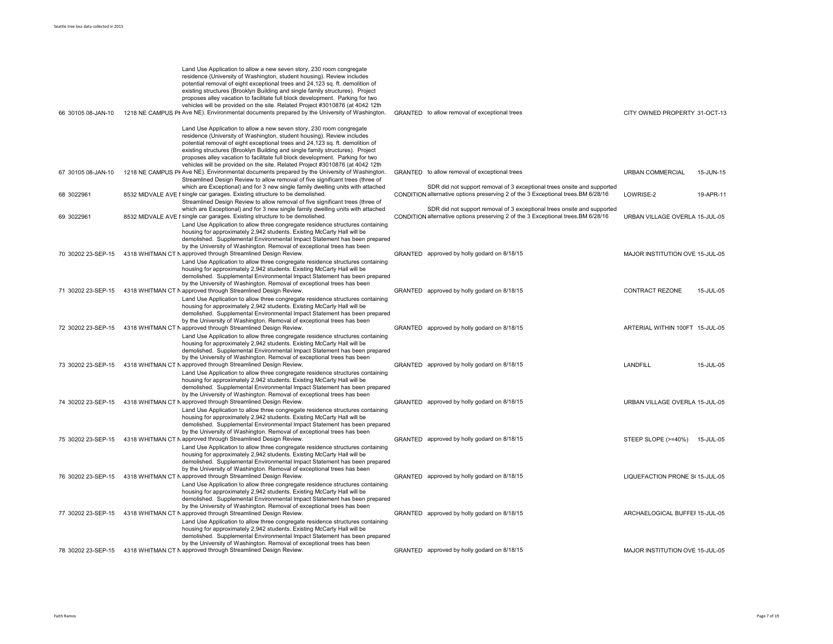|                    | Land Use Application to allow a new seven story, 230 room congregate<br>residence (University of Washington, student housing). Review includes<br>potential removal of eight exceptional trees and 24,123 sq. ft. demolition of<br>existing structures (Brooklyn Building and single family structures). Project<br>proposes alley vacation to facilitate full block development. Parking for two<br>vehicles will be provided on the site. Related Project #3010876 (at 4042 12th                                                                                                 |                                                                                                                                                                                                                                        |                                 |           |
|--------------------|------------------------------------------------------------------------------------------------------------------------------------------------------------------------------------------------------------------------------------------------------------------------------------------------------------------------------------------------------------------------------------------------------------------------------------------------------------------------------------------------------------------------------------------------------------------------------------|----------------------------------------------------------------------------------------------------------------------------------------------------------------------------------------------------------------------------------------|---------------------------------|-----------|
| 66 30105 08-JAN-10 | 1218 NE CAMPUS PI Ave NE). Environmental documents prepared by the University of Washington.<br>Land Use Application to allow a new seven story, 230 room congregate<br>residence (University of Washington, student housing). Review includes<br>potential removal of eight exceptional trees and 24,123 sq. ft. demolition of<br>existing structures (Brooklyn Building and single family structures). Project<br>proposes alley vacation to facilitate full block development. Parking for two<br>vehicles will be provided on the site. Related Project #3010876 (at 4042 12th | GRANTED to allow removal of exceptional trees                                                                                                                                                                                          | CITY OWNED PROPERTY 31-OCT-13   |           |
| 67 30105 08-JAN-10 | 1218 NE CAMPUS PI Ave NE). Environmental documents prepared by the University of Washington.<br>Streamlined Design Review to allow removal of five significant trees (three of                                                                                                                                                                                                                                                                                                                                                                                                     | GRANTED to allow removal of exceptional trees                                                                                                                                                                                          | <b>URBAN COMMERCIAL</b>         | 15-JUN-15 |
| 68 3022961         | which are Exceptional) and for 3 new single family dwelling units with attached<br>8532 MIDVALE AVE I single car garages. Existing structure to be demolished.<br>Streamlined Design Review to allow removal of five significant trees (three of<br>which are Exceptional) and for 3 new single family dwelling units with attached                                                                                                                                                                                                                                                | SDR did not support removal of 3 exceptional trees onsite and supported<br>CONDITION alternative options preserving 2 of the 3 Exceptional trees.BM 6/28/16<br>SDR did not support removal of 3 exceptional trees onsite and supported | LOWRISE-2                       | 19-APR-11 |
| 69 3022961         | 8532 MIDVALE AVE I single car garages. Existing structure to be demolished.<br>Land Use Application to allow three congregate residence structures containing<br>housing for approximately 2,942 students. Existing McCarty Hall will be<br>demolished. Supplemental Environmental Impact Statement has been prepared<br>by the University of Washington. Removal of exceptional trees has been                                                                                                                                                                                    | CONDITION alternative options preserving 2 of the 3 Exceptional trees.BM 6/28/16                                                                                                                                                       | URBAN VILLAGE OVERLA 15-JUL-05  |           |
| 70 30202 23-SEP-15 | 4318 WHITMAN CT N approved through Streamlined Design Review.<br>Land Use Application to allow three congregate residence structures containing<br>housing for approximately 2,942 students. Existing McCarty Hall will be<br>demolished. Supplemental Environmental Impact Statement has been prepared<br>by the University of Washington. Removal of exceptional trees has been                                                                                                                                                                                                  | GRANTED approved by holly godard on 8/18/15                                                                                                                                                                                            | MAJOR INSTITUTION OVE 15-JUL-05 |           |
| 71 30202 23-SEP-15 | 4318 WHITMAN CT N approved through Streamlined Design Review.<br>Land Use Application to allow three congregate residence structures containing<br>housing for approximately 2,942 students. Existing McCarty Hall will be<br>demolished. Supplemental Environmental Impact Statement has been prepared<br>by the University of Washington. Removal of exceptional trees has been                                                                                                                                                                                                  | GRANTED approved by holly godard on 8/18/15                                                                                                                                                                                            | <b>CONTRACT REZONE</b>          | 15-JUL-05 |
| 72 30202 23-SEP-15 | 4318 WHITMAN CT N approved through Streamlined Design Review.<br>Land Use Application to allow three congregate residence structures containing<br>housing for approximately 2,942 students. Existing McCarty Hall will be<br>demolished. Supplemental Environmental Impact Statement has been prepared<br>by the University of Washington. Removal of exceptional trees has been                                                                                                                                                                                                  | GRANTED approved by holly godard on 8/18/15                                                                                                                                                                                            | ARTERIAL WITHIN 100FT 15-JUL-05 |           |
| 73 30202 23-SEP-15 | 4318 WHITMAN CT N approved through Streamlined Design Review.<br>Land Use Application to allow three congregate residence structures containing<br>housing for approximately 2,942 students. Existing McCarty Hall will be<br>demolished. Supplemental Environmental Impact Statement has been prepared<br>by the University of Washington. Removal of exceptional trees has been                                                                                                                                                                                                  | GRANTED approved by holly godard on 8/18/15                                                                                                                                                                                            | LANDFILL                        | 15-JUL-05 |
| 74 30202 23-SEP-15 | 4318 WHITMAN CT N approved through Streamlined Design Review.<br>Land Use Application to allow three congregate residence structures containing<br>housing for approximately 2,942 students. Existing McCarty Hall will be<br>demolished. Supplemental Environmental Impact Statement has been prepared<br>by the University of Washington. Removal of exceptional trees has been                                                                                                                                                                                                  | GRANTED approved by holly godard on 8/18/15                                                                                                                                                                                            | URBAN VILLAGE OVERLA 15-JUL-05  |           |
| 75 30202 23-SEP-15 | 4318 WHITMAN CT N approved through Streamlined Design Review.<br>Land Use Application to allow three congregate residence structures containing<br>housing for approximately 2,942 students. Existing McCarty Hall will be<br>demolished. Supplemental Environmental Impact Statement has been prepared<br>by the University of Washington. Removal of exceptional trees has been                                                                                                                                                                                                  | GRANTED approved by holly godard on 8/18/15                                                                                                                                                                                            | STEEP SLOPE (>=40%)             | 15-JUL-05 |
| 76 30202 23-SEP-15 | 4318 WHITMAN CT N approved through Streamlined Design Review.<br>Land Use Application to allow three congregate residence structures containing<br>housing for approximately 2,942 students. Existing McCarty Hall will be<br>demolished. Supplemental Environmental Impact Statement has been prepared<br>by the University of Washington. Removal of exceptional trees has been                                                                                                                                                                                                  | GRANTED approved by holly godard on 8/18/15                                                                                                                                                                                            | LIQUEFACTION PRONE S(15-JUL-05  |           |
| 77 30202 23-SEP-15 | 4318 WHITMAN CT N approved through Streamlined Design Review.<br>Land Use Application to allow three congregate residence structures containing<br>housing for approximately 2,942 students. Existing McCarty Hall will be<br>demolished. Supplemental Environmental Impact Statement has been prepared<br>by the University of Washington. Removal of exceptional trees has been                                                                                                                                                                                                  | GRANTED approved by holly godard on 8/18/15                                                                                                                                                                                            | ARCHAELOGICAL BUFFEI 15-JUL-05  |           |
| 78 30202 23-SEP-15 | 4318 WHITMAN CT N approved through Streamlined Design Review.                                                                                                                                                                                                                                                                                                                                                                                                                                                                                                                      | GRANTED approved by holly godard on 8/18/15                                                                                                                                                                                            | MAJOR INSTITUTION OVE 15-JUL-05 |           |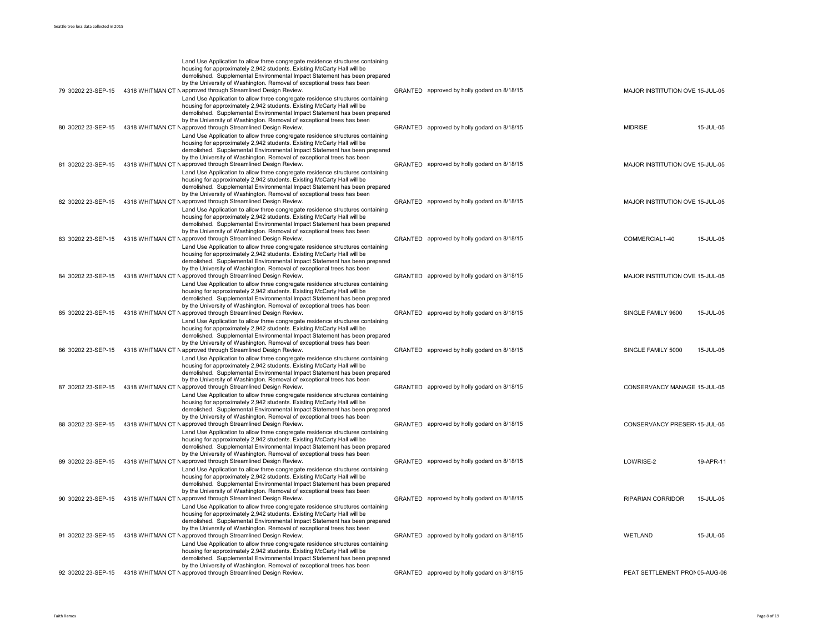|                    | Land Use Application to allow three congregate residence structures containing<br>housing for approximately 2,942 students. Existing McCarty Hall will be<br>demolished. Supplemental Environmental Impact Statement has been prepared<br>by the University of Washington. Removal of exceptional trees has been                                                                  |                                             |                                 |           |
|--------------------|-----------------------------------------------------------------------------------------------------------------------------------------------------------------------------------------------------------------------------------------------------------------------------------------------------------------------------------------------------------------------------------|---------------------------------------------|---------------------------------|-----------|
| 79 30202 23-SEP-15 | 4318 WHITMAN CT N approved through Streamlined Design Review.<br>Land Use Application to allow three congregate residence structures containing<br>housing for approximately 2,942 students. Existing McCarty Hall will be<br>demolished. Supplemental Environmental Impact Statement has been prepared<br>by the University of Washington. Removal of exceptional trees has been | GRANTED approved by holly godard on 8/18/15 | MAJOR INSTITUTION OVE 15-JUL-05 |           |
| 80 30202 23-SEP-15 | 4318 WHITMAN CT N approved through Streamlined Design Review.<br>Land Use Application to allow three congregate residence structures containing<br>housing for approximately 2,942 students. Existing McCarty Hall will be<br>demolished. Supplemental Environmental Impact Statement has been prepared<br>by the University of Washington. Removal of exceptional trees has been | GRANTED approved by holly godard on 8/18/15 | <b>MIDRISE</b>                  | 15-JUL-05 |
| 81 30202 23-SEP-15 | 4318 WHITMAN CT N approved through Streamlined Design Review.<br>Land Use Application to allow three congregate residence structures containing<br>housing for approximately 2,942 students. Existing McCarty Hall will be<br>demolished. Supplemental Environmental Impact Statement has been prepared<br>by the University of Washington. Removal of exceptional trees has been | GRANTED approved by holly godard on 8/18/15 | MAJOR INSTITUTION OVE 15-JUL-05 |           |
| 82 30202 23-SEP-15 | 4318 WHITMAN CT N approved through Streamlined Design Review.<br>Land Use Application to allow three congregate residence structures containing<br>housing for approximately 2,942 students. Existing McCarty Hall will be<br>demolished. Supplemental Environmental Impact Statement has been prepared<br>by the University of Washington. Removal of exceptional trees has been | GRANTED approved by holly godard on 8/18/15 | MAJOR INSTITUTION OVE 15-JUL-05 |           |
| 83 30202 23-SEP-15 | 4318 WHITMAN CT N approved through Streamlined Design Review.<br>Land Use Application to allow three congregate residence structures containing<br>housing for approximately 2,942 students. Existing McCarty Hall will be<br>demolished. Supplemental Environmental Impact Statement has been prepared<br>by the University of Washington. Removal of exceptional trees has been | GRANTED approved by holly godard on 8/18/15 | COMMERCIAL1-40                  | 15-JUL-05 |
| 84 30202 23-SEP-15 | 4318 WHITMAN CT N approved through Streamlined Design Review.<br>Land Use Application to allow three congregate residence structures containing<br>housing for approximately 2,942 students. Existing McCarty Hall will be<br>demolished. Supplemental Environmental Impact Statement has been prepared                                                                           | GRANTED approved by holly godard on 8/18/15 | MAJOR INSTITUTION OVE 15-JUL-05 |           |
| 85 30202 23-SEP-15 | by the University of Washington. Removal of exceptional trees has been<br>4318 WHITMAN CT N approved through Streamlined Design Review.<br>Land Use Application to allow three congregate residence structures containing<br>housing for approximately 2,942 students. Existing McCarty Hall will be<br>demolished. Supplemental Environmental Impact Statement has been prepared | GRANTED approved by holly godard on 8/18/15 | SINGLE FAMILY 9600              | 15-JUL-05 |
| 86 30202 23-SEP-15 | by the University of Washington. Removal of exceptional trees has been<br>4318 WHITMAN CT N approved through Streamlined Design Review.<br>Land Use Application to allow three congregate residence structures containing<br>housing for approximately 2,942 students. Existing McCarty Hall will be<br>demolished. Supplemental Environmental Impact Statement has been prepared | GRANTED approved by holly godard on 8/18/15 | SINGLE FAMILY 5000              | 15-JUL-05 |
| 87 30202 23-SEP-15 | by the University of Washington. Removal of exceptional trees has been<br>4318 WHITMAN CT N approved through Streamlined Design Review.<br>Land Use Application to allow three congregate residence structures containing<br>housing for approximately 2,942 students. Existing McCarty Hall will be<br>demolished. Supplemental Environmental Impact Statement has been prepared | GRANTED approved by holly godard on 8/18/15 | CONSERVANCY MANAGE 15-JUL-05    |           |
| 88 30202 23-SEP-15 | by the University of Washington. Removal of exceptional trees has been<br>4318 WHITMAN CT N approved through Streamlined Design Review.<br>Land Use Application to allow three congregate residence structures containing<br>housing for approximately 2,942 students. Existing McCarty Hall will be<br>demolished. Supplemental Environmental Impact Statement has been prepared | GRANTED approved by holly godard on 8/18/15 | CONSERVANCY PRESER\ 15-JUL-05   |           |
| 89 30202 23-SEP-15 | by the University of Washington. Removal of exceptional trees has been<br>4318 WHITMAN CT N approved through Streamlined Design Review.<br>Land Use Application to allow three congregate residence structures containing<br>housing for approximately 2,942 students. Existing McCarty Hall will be<br>demolished. Supplemental Environmental Impact Statement has been prepared | GRANTED approved by holly godard on 8/18/15 | LOWRISE-2                       | 19-APR-11 |
| 90 30202 23-SEP-15 | by the University of Washington. Removal of exceptional trees has been<br>4318 WHITMAN CT N approved through Streamlined Design Review.<br>Land Use Application to allow three congregate residence structures containing<br>housing for approximately 2,942 students. Existing McCarty Hall will be<br>demolished. Supplemental Environmental Impact Statement has been prepared | GRANTED approved by holly godard on 8/18/15 | <b>RIPARIAN CORRIDOR</b>        | 15-JUL-05 |
| 91 30202 23-SEP-15 | by the University of Washington. Removal of exceptional trees has been<br>4318 WHITMAN CT N approved through Streamlined Design Review.<br>Land Use Application to allow three congregate residence structures containing<br>housing for approximately 2,942 students. Existing McCarty Hall will be<br>demolished. Supplemental Environmental Impact Statement has been prepared | GRANTED approved by holly godard on 8/18/15 | WETLAND                         | 15-JUL-05 |
| 92 30202 23-SEP-15 | by the University of Washington. Removal of exceptional trees has been<br>4318 WHITMAN CT N approved through Streamlined Design Review.                                                                                                                                                                                                                                           | GRANTED approved by holly godard on 8/18/15 | PEAT SETTLEMENT PRON 05-AUG-08  |           |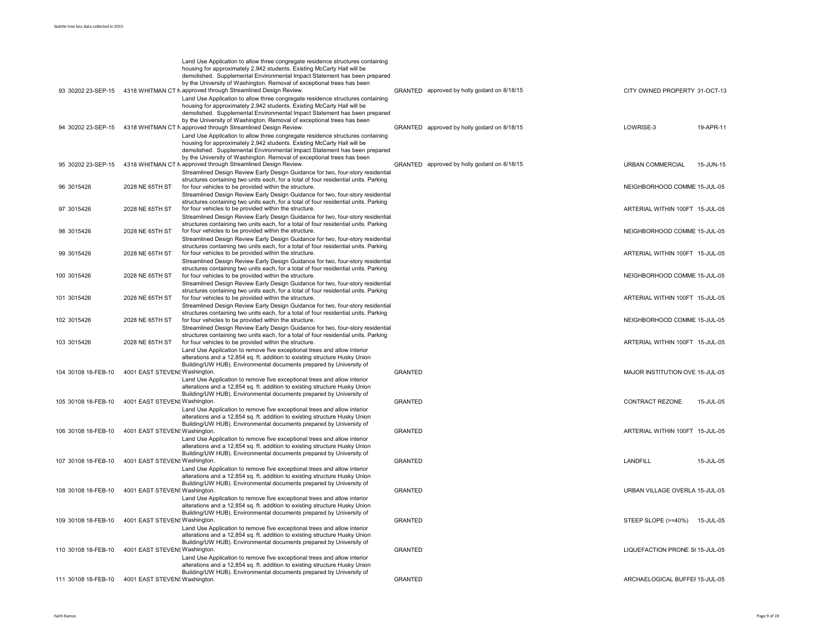| 93 30202 23-SEP-15  |                               | Land Use Application to allow three congregate residence structures containing<br>housing for approximately 2,942 students. Existing McCarty Hall will be<br>demolished. Supplemental Environmental Impact Statement has been prepared<br>by the University of Washington. Removal of exceptional trees has been<br>4318 WHITMAN CT N approved through Streamlined Design Review.<br>Land Use Application to allow three congregate residence structures containing | GRANTED approved by holly godard on 8/18/15 | CITY OWNED PROPERTY 31-OCT-13   |           |
|---------------------|-------------------------------|---------------------------------------------------------------------------------------------------------------------------------------------------------------------------------------------------------------------------------------------------------------------------------------------------------------------------------------------------------------------------------------------------------------------------------------------------------------------|---------------------------------------------|---------------------------------|-----------|
| 94 30202 23-SEP-15  |                               | housing for approximately 2,942 students. Existing McCarty Hall will be<br>demolished. Supplemental Environmental Impact Statement has been prepared<br>by the University of Washington. Removal of exceptional trees has been<br>4318 WHITMAN CT N approved through Streamlined Design Review.<br>Land Use Application to allow three congregate residence structures containing<br>housing for approximately 2,942 students. Existing McCarty Hall will be        | GRANTED approved by holly godard on 8/18/15 | LOWRISE-3                       | 19-APR-11 |
| 95 30202 23-SEP-15  |                               | demolished. Supplemental Environmental Impact Statement has been prepared<br>by the University of Washington. Removal of exceptional trees has been<br>4318 WHITMAN CT N approved through Streamlined Design Review.<br>Streamlined Design Review Early Design Guidance for two, four-story residential<br>structures containing two units each, for a total of four residential units. Parking                                                                     | GRANTED approved by holly godard on 8/18/15 | URBAN COMMERCIAL                | 15-JUN-15 |
| 96 3015426          | 2028 NE 65TH ST               | for four vehicles to be provided within the structure.<br>Streamlined Design Review Early Design Guidance for two, four-story residential                                                                                                                                                                                                                                                                                                                           |                                             | NEIGHBORHOOD COMME 15-JUL-05    |           |
| 97 3015426          | 2028 NE 65TH ST               | structures containing two units each, for a total of four residential units. Parking<br>for four vehicles to be provided within the structure.<br>Streamlined Design Review Early Design Guidance for two, four-story residential                                                                                                                                                                                                                                   |                                             | ARTERIAL WITHIN 100FT 15-JUL-05 |           |
| 98 3015426          | 2028 NE 65TH ST               | structures containing two units each, for a total of four residential units. Parking<br>for four vehicles to be provided within the structure.<br>Streamlined Design Review Early Design Guidance for two, four-story residential                                                                                                                                                                                                                                   |                                             | NEIGHBORHOOD COMME 15-JUL-05    |           |
| 99 3015426          | 2028 NE 65TH ST               | structures containing two units each, for a total of four residential units. Parking<br>for four vehicles to be provided within the structure.<br>Streamlined Design Review Early Design Guidance for two, four-story residential                                                                                                                                                                                                                                   |                                             | ARTERIAL WITHIN 100FT 15-JUL-05 |           |
| 100 3015426         | 2028 NE 65TH ST               | structures containing two units each, for a total of four residential units. Parking<br>for four vehicles to be provided within the structure.<br>Streamlined Design Review Early Design Guidance for two, four-story residential                                                                                                                                                                                                                                   |                                             | NEIGHBORHOOD COMME 15-JUL-05    |           |
| 101 3015426         | 2028 NE 65TH ST               | structures containing two units each, for a total of four residential units. Parking<br>for four vehicles to be provided within the structure.<br>Streamlined Design Review Early Design Guidance for two, four-story residential                                                                                                                                                                                                                                   |                                             | ARTERIAL WITHIN 100FT 15-JUL-05 |           |
| 102 3015426         | 2028 NE 65TH ST               | structures containing two units each, for a total of four residential units. Parking<br>for four vehicles to be provided within the structure.<br>Streamlined Design Review Early Design Guidance for two, four-story residential                                                                                                                                                                                                                                   |                                             | NEIGHBORHOOD COMME 15-JUL-05    |           |
| 103 3015426         | 2028 NE 65TH ST               | structures containing two units each, for a total of four residential units. Parking<br>for four vehicles to be provided within the structure.<br>Land Use Application to remove five exceptional trees and allow interior                                                                                                                                                                                                                                          |                                             | ARTERIAL WITHIN 100FT 15-JUL-05 |           |
| 104 30108 18-FEB-10 | 4001 EAST STEVEN! Washington. | alterations and a 12,854 sq. ft. addition to existing structure Husky Union<br>Building/UW HUB). Environmental documents prepared by University of<br>Land Use Application to remove five exceptional trees and allow interior                                                                                                                                                                                                                                      | <b>GRANTED</b>                              | MAJOR INSTITUTION OVE 15-JUL-05 |           |
| 105 30108 18-FEB-10 | 4001 EAST STEVEN! Washington. | alterations and a 12,854 sq. ft. addition to existing structure Husky Union<br>Building/UW HUB). Environmental documents prepared by University of                                                                                                                                                                                                                                                                                                                  | GRANTED                                     | CONTRACT REZONE                 | 15-JUL-05 |
|                     | 4001 EAST STEVEN! Washington. | Land Use Application to remove five exceptional trees and allow interior<br>alterations and a 12,854 sq. ft. addition to existing structure Husky Union<br>Building/UW HUB). Environmental documents prepared by University of                                                                                                                                                                                                                                      | <b>GRANTED</b>                              |                                 |           |
| 106 30108 18-FEB-10 |                               | Land Use Application to remove five exceptional trees and allow interior<br>alterations and a 12,854 sq. ft. addition to existing structure Husky Union                                                                                                                                                                                                                                                                                                             |                                             | ARTERIAL WITHIN 100FT 15-JUL-05 |           |
| 107 30108 18-FEB-10 | 4001 EAST STEVEN! Washington. | Building/UW HUB). Environmental documents prepared by University of<br>Land Use Application to remove five exceptional trees and allow interior<br>alterations and a 12,854 sq. ft. addition to existing structure Husky Union                                                                                                                                                                                                                                      | GRANTED                                     | LANDFILL                        | 15-JUL-05 |
| 108 30108 18-FEB-10 | 4001 EAST STEVEN! Washington. | Building/UW HUB). Environmental documents prepared by University of<br>Land Use Application to remove five exceptional trees and allow interior                                                                                                                                                                                                                                                                                                                     | GRANTED                                     | URBAN VILLAGE OVERLA 15-JUL-05  |           |
| 109 30108 18-FEB-10 | 4001 EAST STEVEN! Washington. | alterations and a 12,854 sq. ft. addition to existing structure Husky Union<br>Building/UW HUB). Environmental documents prepared by University of                                                                                                                                                                                                                                                                                                                  | GRANTED                                     | STEEP SLOPE (>=40%) 15-JUL-05   |           |
| 110 30108 18-FEB-10 | 4001 EAST STEVEN! Washington. | Land Use Application to remove five exceptional trees and allow interior<br>alterations and a 12,854 sq. ft. addition to existing structure Husky Union<br>Building/UW HUB). Environmental documents prepared by University of                                                                                                                                                                                                                                      | <b>GRANTED</b>                              | LIQUEFACTION PRONE S(15-JUL-05  |           |
|                     |                               | Land Use Application to remove five exceptional trees and allow interior<br>alterations and a 12,854 sq. ft. addition to existing structure Husky Union<br>Building/UW HUB). Environmental documents prepared by University of                                                                                                                                                                                                                                      |                                             |                                 |           |
| 111 30108 18-FEB-10 | 4001 EAST STEVEN! Washington. |                                                                                                                                                                                                                                                                                                                                                                                                                                                                     | <b>GRANTED</b>                              | ARCHAELOGICAL BUFFEI 15-JUL-05  |           |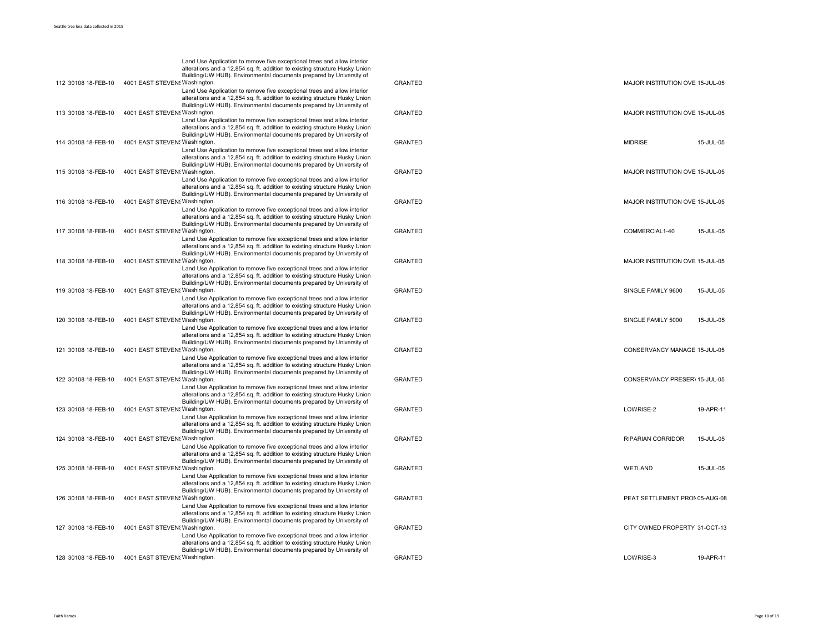|                     | Land Use Application to remove five exceptional trees and allow interior<br>alterations and a 12,854 sq. ft. addition to existing structure Husky Union                                                                        |                |                                 |           |
|---------------------|--------------------------------------------------------------------------------------------------------------------------------------------------------------------------------------------------------------------------------|----------------|---------------------------------|-----------|
| 112 30108 18-FEB-10 | Building/UW HUB). Environmental documents prepared by University of<br>4001 EAST STEVEN! Washington.<br>Land Use Application to remove five exceptional trees and allow interior                                               | <b>GRANTED</b> | MAJOR INSTITUTION OVE 15-JUL-05 |           |
|                     | alterations and a 12,854 sq. ft. addition to existing structure Husky Union<br>Building/UW HUB). Environmental documents prepared by University of                                                                             |                |                                 |           |
| 113 30108 18-FEB-10 | 4001 EAST STEVEN! Washington.<br>Land Use Application to remove five exceptional trees and allow interior                                                                                                                      | <b>GRANTED</b> | MAJOR INSTITUTION OVE 15-JUL-05 |           |
|                     | alterations and a 12,854 sq. ft. addition to existing structure Husky Union<br>Building/UW HUB). Environmental documents prepared by University of                                                                             |                |                                 |           |
| 114 30108 18-FEB-10 | 4001 EAST STEVEN! Washington.<br>Land Use Application to remove five exceptional trees and allow interior                                                                                                                      | <b>GRANTED</b> | <b>MIDRISE</b>                  | 15-JUL-05 |
| 115 30108 18-FEB-10 | alterations and a 12,854 sq. ft. addition to existing structure Husky Union<br>Building/UW HUB). Environmental documents prepared by University of<br>4001 EAST STEVEN! Washington.                                            | <b>GRANTED</b> | MAJOR INSTITUTION OVE 15-JUL-05 |           |
|                     | Land Use Application to remove five exceptional trees and allow interior<br>alterations and a 12,854 sq. ft. addition to existing structure Husky Union<br>Building/UW HUB). Environmental documents prepared by University of |                |                                 |           |
| 116 30108 18-FEB-10 | 4001 EAST STEVEN! Washington<br>Land Use Application to remove five exceptional trees and allow interior                                                                                                                       | <b>GRANTED</b> | MAJOR INSTITUTION OVE 15-JUL-05 |           |
|                     | alterations and a 12,854 sq. ft. addition to existing structure Husky Union<br>Building/UW HUB). Environmental documents prepared by University of                                                                             |                |                                 |           |
| 117 30108 18-FEB-10 | 4001 EAST STEVEN! Washington.<br>Land Use Application to remove five exceptional trees and allow interior                                                                                                                      | <b>GRANTED</b> | COMMERCIAL1-40                  | 15-JUL-05 |
|                     | alterations and a 12,854 sq. ft. addition to existing structure Husky Union<br>Building/UW HUB). Environmental documents prepared by University of                                                                             |                |                                 |           |
| 118 30108 18-FEB-10 | 4001 EAST STEVEN! Washington.<br>Land Use Application to remove five exceptional trees and allow interior                                                                                                                      | <b>GRANTED</b> | MAJOR INSTITUTION OVE 15-JUL-05 |           |
| 119 30108 18-FEB-10 | alterations and a 12,854 sq. ft. addition to existing structure Husky Union<br>Building/UW HUB). Environmental documents prepared by University of<br>4001 EAST STEVEN! Washington.                                            | <b>GRANTED</b> | SINGLE FAMILY 9600              | 15-JUL-05 |
|                     | Land Use Application to remove five exceptional trees and allow interior<br>alterations and a 12,854 sq. ft. addition to existing structure Husky Union                                                                        |                |                                 |           |
| 120 30108 18-FEB-10 | Building/UW HUB). Environmental documents prepared by University of<br>4001 EAST STEVEN! Washington.                                                                                                                           | <b>GRANTED</b> | SINGLE FAMILY 5000              | 15-JUL-05 |
|                     | Land Use Application to remove five exceptional trees and allow interior<br>alterations and a 12,854 sq. ft. addition to existing structure Husky Union<br>Building/UW HUB). Environmental documents prepared by University of |                |                                 |           |
| 121 30108 18-FEB-10 | 4001 EAST STEVEN! Washington<br>Land Use Application to remove five exceptional trees and allow interior                                                                                                                       | <b>GRANTED</b> | CONSERVANCY MANAGE 15-JUL-05    |           |
|                     | alterations and a 12,854 sq. ft. addition to existing structure Husky Union<br>Building/UW HUB). Environmental documents prepared by University of                                                                             |                |                                 |           |
| 122 30108 18-FEB-10 | 4001 EAST STEVEN! Washington.<br>Land Use Application to remove five exceptional trees and allow interior                                                                                                                      | <b>GRANTED</b> | CONSERVANCY PRESER\ 15-JUL-05   |           |
|                     | alterations and a 12,854 sq. ft. addition to existing structure Husky Union<br>Building/UW HUB). Environmental documents prepared by University of                                                                             |                |                                 |           |
| 123 30108 18-FEB-10 | 4001 EAST STEVEN! Washington.<br>Land Use Application to remove five exceptional trees and allow interior                                                                                                                      | <b>GRANTED</b> | LOWRISE-2                       | 19-APR-11 |
|                     | alterations and a 12,854 sq. ft. addition to existing structure Husky Union<br>Building/UW HUB). Environmental documents prepared by University of                                                                             |                |                                 |           |
| 124 30108 18-FEB-10 | 4001 EAST STEVEN! Washington.<br>Land Use Application to remove five exceptional trees and allow interior<br>alterations and a 12,854 sq. ft. addition to existing structure Husky Union                                       | <b>GRANTED</b> | <b>RIPARIAN CORRIDOR</b>        | 15-JUL-05 |
| 125 30108 18-FEB-10 | Building/UW HUB). Environmental documents prepared by University of<br>4001 EAST STEVEN! Washington.                                                                                                                           | <b>GRANTED</b> | WETLAND                         | 15-JUL-05 |
|                     | Land Use Application to remove five exceptional trees and allow interior<br>alterations and a 12,854 sq. ft. addition to existing structure Husky Union                                                                        |                |                                 |           |
| 126 30108 18-FEB-10 | Building/UW HUB). Environmental documents prepared by University of<br>4001 EAST STEVEN! Washington.                                                                                                                           | <b>GRANTED</b> | PEAT SETTLEMENT PRON 05-AUG-08  |           |
|                     | Land Use Application to remove five exceptional trees and allow interior<br>alterations and a 12,854 sq. ft. addition to existing structure Husky Union<br>Building/UW HUB). Environmental documents prepared by University of |                |                                 |           |
| 127 30108 18-FEB-10 | 4001 EAST STEVEN! Washington.<br>Land Use Application to remove five exceptional trees and allow interior                                                                                                                      | <b>GRANTED</b> | CITY OWNED PROPERTY 31-OCT-13   |           |
|                     | alterations and a 12,854 sq. ft. addition to existing structure Husky Union<br>Building/UW HUB). Environmental documents prepared by University of                                                                             |                |                                 |           |
| 128 30108 18-FEB-10 | 4001 EAST STEVEN! Washington.                                                                                                                                                                                                  | <b>GRANTED</b> | LOWRISE-3                       | 19-APR-11 |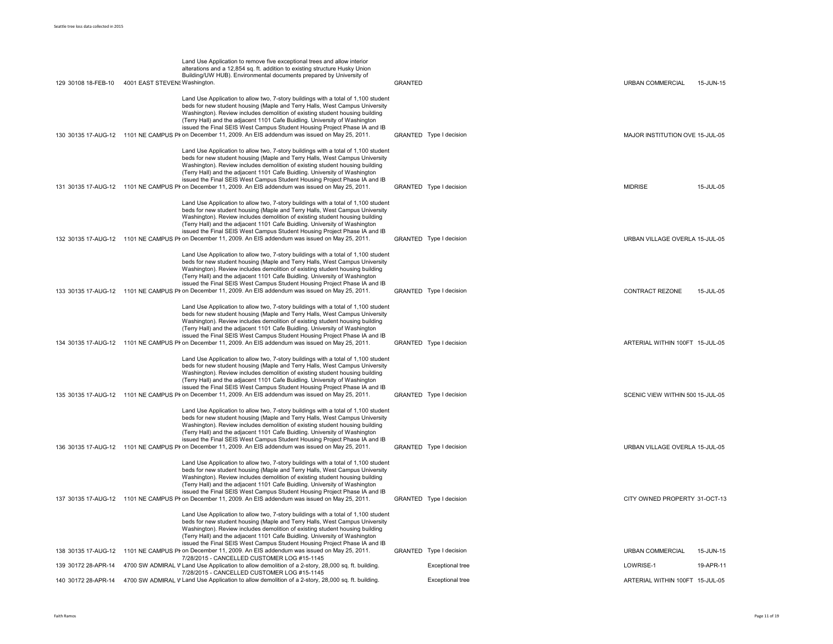| Land Use Application to allow two, 7-story buildings with a total of 1,100 student<br>beds for new student housing (Maple and Terry Halls, West Campus University<br>Washington). Review includes demolition of existing student housing building<br>(Terry Hall) and the adjacent 1101 Cafe Buidling. University of Washington<br>issued the Final SEIS West Campus Student Housing Project Phase IA and IB<br>130 30135 17-AUG-12 1101 NE CAMPUS PI on December 11, 2009. An EIS addendum was issued on May 25, 2011.<br>GRANTED Type I decision<br>MAJOR INSTITUTION OVE 15-JUL-05<br>Land Use Application to allow two, 7-story buildings with a total of 1,100 student<br>beds for new student housing (Maple and Terry Halls, West Campus University<br>Washington). Review includes demolition of existing student housing building<br>(Terry Hall) and the adjacent 1101 Cafe Buidling. University of Washington<br>issued the Final SEIS West Campus Student Housing Project Phase IA and IB<br>131 30135 17-AUG-12 1101 NE CAMPUS PI on December 11, 2009. An EIS addendum was issued on May 25, 2011.<br>GRANTED Type I decision<br><b>MIDRISE</b><br>Land Use Application to allow two, 7-story buildings with a total of 1,100 student<br>beds for new student housing (Maple and Terry Halls, West Campus University<br>Washington). Review includes demolition of existing student housing building<br>(Terry Hall) and the adjacent 1101 Cafe Buidling. University of Washington<br>issued the Final SEIS West Campus Student Housing Project Phase IA and IB<br>132 30135 17-AUG-12 1101 NE CAMPUS PI on December 11, 2009. An EIS addendum was issued on May 25, 2011.<br>GRANTED Type I decision<br>URBAN VILLAGE OVERLA 15-JUL-05<br>Land Use Application to allow two, 7-story buildings with a total of 1,100 student<br>beds for new student housing (Maple and Terry Halls, West Campus University<br>Washington). Review includes demolition of existing student housing building<br>(Terry Hall) and the adjacent 1101 Cafe Buidling. University of Washington<br>issued the Final SEIS West Campus Student Housing Project Phase IA and IB<br>133 30135 17-AUG-12 1101 NE CAMPUS PI on December 11, 2009. An EIS addendum was issued on May 25, 2011.<br>GRANTED Type I decision<br><b>CONTRACT REZONE</b><br>Land Use Application to allow two, 7-story buildings with a total of 1,100 student<br>beds for new student housing (Maple and Terry Halls, West Campus University<br>Washington). Review includes demolition of existing student housing building<br>(Terry Hall) and the adjacent 1101 Cafe Buidling. University of Washington<br>issued the Final SEIS West Campus Student Housing Project Phase IA and IB<br>134 30135 17-AUG-12 1101 NE CAMPUS PI on December 11, 2009. An EIS addendum was issued on May 25, 2011.<br>GRANTED Type I decision<br>ARTERIAL WITHIN 100FT 15-JUL-05<br>Land Use Application to allow two, 7-story buildings with a total of 1,100 student<br>beds for new student housing (Maple and Terry Halls, West Campus University<br>Washington). Review includes demolition of existing student housing building<br>(Terry Hall) and the adjacent 1101 Cafe Buidling. University of Washington<br>issued the Final SEIS West Campus Student Housing Project Phase IA and IB<br>135 30135 17-AUG-12 1101 NE CAMPUS PI on December 11, 2009. An EIS addendum was issued on May 25, 2011.<br>GRANTED Type I decision<br>SCENIC VIEW WITHIN 500 15-JUL-05<br>Land Use Application to allow two, 7-story buildings with a total of 1,100 student<br>beds for new student housing (Maple and Terry Halls, West Campus University<br>Washington). Review includes demolition of existing student housing building<br>(Terry Hall) and the adjacent 1101 Cafe Buidling. University of Washington<br>issued the Final SEIS West Campus Student Housing Project Phase IA and IB<br>136 30135 17-AUG-12 1101 NE CAMPUS PI on December 11, 2009. An EIS addendum was issued on May 25, 2011.<br>GRANTED Type I decision<br>URBAN VILLAGE OVERLA 15-JUL-05<br>Land Use Application to allow two, 7-story buildings with a total of 1,100 student<br>beds for new student housing (Maple and Terry Halls, West Campus University<br>Washington). Review includes demolition of existing student housing building<br>(Terry Hall) and the adjacent 1101 Cafe Buidling. University of Washington<br>issued the Final SEIS West Campus Student Housing Project Phase IA and IB<br>137 30135 17-AUG-12 1101 NE CAMPUS PI on December 11, 2009. An EIS addendum was issued on May 25, 2011.<br>GRANTED Type I decision<br>CITY OWNED PROPERTY 31-OCT-13<br>Land Use Application to allow two, 7-story buildings with a total of 1,100 student<br>beds for new student housing (Maple and Terry Halls, West Campus University<br>Washington). Review includes demolition of existing student housing building<br>(Terry Hall) and the adjacent 1101 Cafe Buidling. University of Washington<br>issued the Final SEIS West Campus Student Housing Project Phase IA and IB<br>138 30135 17-AUG-12 1101 NE CAMPUS PI on December 11, 2009. An EIS addendum was issued on May 25, 2011.<br>GRANTED Type I decision<br><b>URBAN COMMERCIAL</b><br>7/28/2015 - CANCELLED CUSTOMER LOG #15-1145<br><b>Exceptional tree</b><br>4700 SW ADMIRAL V Land Use Application to allow demolition of a 2-story, 28,000 sq. ft. building<br>LOWRISE-1<br>139 30172 28-APR-14<br>7/28/2015 - CANCELLED CUSTOMER LOG #15-1145<br><b>Exceptional tree</b><br>140 30172 28-APR-14 4700 SW ADMIRAL V Land Use Application to allow demolition of a 2-story, 28,000 sq. ft. building<br>ARTERIAL WITHIN 100FT 15-JUL-05 | 129 30108 18-FEB-10  4001 EAST STEVEN! Washington. | Land Use Application to remove five exceptional trees and allow interior<br>alterations and a 12,854 sq. ft. addition to existing structure Husky Union<br>Building/UW HUB). Environmental documents prepared by University of | <b>GRANTED</b> | URBAN COMMERCIAL | 15-JUN-15 |
|-------------------------------------------------------------------------------------------------------------------------------------------------------------------------------------------------------------------------------------------------------------------------------------------------------------------------------------------------------------------------------------------------------------------------------------------------------------------------------------------------------------------------------------------------------------------------------------------------------------------------------------------------------------------------------------------------------------------------------------------------------------------------------------------------------------------------------------------------------------------------------------------------------------------------------------------------------------------------------------------------------------------------------------------------------------------------------------------------------------------------------------------------------------------------------------------------------------------------------------------------------------------------------------------------------------------------------------------------------------------------------------------------------------------------------------------------------------------------------------------------------------------------------------------------------------------------------------------------------------------------------------------------------------------------------------------------------------------------------------------------------------------------------------------------------------------------------------------------------------------------------------------------------------------------------------------------------------------------------------------------------------------------------------------------------------------------------------------------------------------------------------------------------------------------------------------------------------------------------------------------------------------------------------------------------------------------------------------------------------------------------------------------------------------------------------------------------------------------------------------------------------------------------------------------------------------------------------------------------------------------------------------------------------------------------------------------------------------------------------------------------------------------------------------------------------------------------------------------------------------------------------------------------------------------------------------------------------------------------------------------------------------------------------------------------------------------------------------------------------------------------------------------------------------------------------------------------------------------------------------------------------------------------------------------------------------------------------------------------------------------------------------------------------------------------------------------------------------------------------------------------------------------------------------------------------------------------------------------------------------------------------------------------------------------------------------------------------------------------------------------------------------------------------------------------------------------------------------------------------------------------------------------------------------------------------------------------------------------------------------------------------------------------------------------------------------------------------------------------------------------------------------------------------------------------------------------------------------------------------------------------------------------------------------------------------------------------------------------------------------------------------------------------------------------------------------------------------------------------------------------------------------------------------------------------------------------------------------------------------------------------------------------------------------------------------------------------------------------------------------------------------------------------------------------------------------------------------------------------------------------------------------------------------------------------------------------------------------------------------------------------------------------------------------------------------------------------------------------------------------------------------------------------------------------------------------------------------------------------------------------------------------------------------------------------------------------------------------------------------------------------------------------------------------------------------------------------------------------------------------------------------------------------------------------------------------------------------------------------------------------------------------------------------------------------------------------------------------------------------------------|----------------------------------------------------|--------------------------------------------------------------------------------------------------------------------------------------------------------------------------------------------------------------------------------|----------------|------------------|-----------|
|                                                                                                                                                                                                                                                                                                                                                                                                                                                                                                                                                                                                                                                                                                                                                                                                                                                                                                                                                                                                                                                                                                                                                                                                                                                                                                                                                                                                                                                                                                                                                                                                                                                                                                                                                                                                                                                                                                                                                                                                                                                                                                                                                                                                                                                                                                                                                                                                                                                                                                                                                                                                                                                                                                                                                                                                                                                                                                                                                                                                                                                                                                                                                                                                                                                                                                                                                                                                                                                                                                                                                                                                                                                                                                                                                                                                                                                                                                                                                                                                                                                                                                                                                                                                                                                                                                                                                                                                                                                                                                                                                                                                                                                                                                                                                                                                                                                                                                                                                                                                                                                                                                                                                                                                                                                                                                                                                                                                                                                                                                                                                                                                                                                                                                                                                 |                                                    |                                                                                                                                                                                                                                |                |                  |           |
|                                                                                                                                                                                                                                                                                                                                                                                                                                                                                                                                                                                                                                                                                                                                                                                                                                                                                                                                                                                                                                                                                                                                                                                                                                                                                                                                                                                                                                                                                                                                                                                                                                                                                                                                                                                                                                                                                                                                                                                                                                                                                                                                                                                                                                                                                                                                                                                                                                                                                                                                                                                                                                                                                                                                                                                                                                                                                                                                                                                                                                                                                                                                                                                                                                                                                                                                                                                                                                                                                                                                                                                                                                                                                                                                                                                                                                                                                                                                                                                                                                                                                                                                                                                                                                                                                                                                                                                                                                                                                                                                                                                                                                                                                                                                                                                                                                                                                                                                                                                                                                                                                                                                                                                                                                                                                                                                                                                                                                                                                                                                                                                                                                                                                                                                                 |                                                    |                                                                                                                                                                                                                                |                |                  | 15-JUL-05 |
|                                                                                                                                                                                                                                                                                                                                                                                                                                                                                                                                                                                                                                                                                                                                                                                                                                                                                                                                                                                                                                                                                                                                                                                                                                                                                                                                                                                                                                                                                                                                                                                                                                                                                                                                                                                                                                                                                                                                                                                                                                                                                                                                                                                                                                                                                                                                                                                                                                                                                                                                                                                                                                                                                                                                                                                                                                                                                                                                                                                                                                                                                                                                                                                                                                                                                                                                                                                                                                                                                                                                                                                                                                                                                                                                                                                                                                                                                                                                                                                                                                                                                                                                                                                                                                                                                                                                                                                                                                                                                                                                                                                                                                                                                                                                                                                                                                                                                                                                                                                                                                                                                                                                                                                                                                                                                                                                                                                                                                                                                                                                                                                                                                                                                                                                                 |                                                    |                                                                                                                                                                                                                                |                |                  |           |
|                                                                                                                                                                                                                                                                                                                                                                                                                                                                                                                                                                                                                                                                                                                                                                                                                                                                                                                                                                                                                                                                                                                                                                                                                                                                                                                                                                                                                                                                                                                                                                                                                                                                                                                                                                                                                                                                                                                                                                                                                                                                                                                                                                                                                                                                                                                                                                                                                                                                                                                                                                                                                                                                                                                                                                                                                                                                                                                                                                                                                                                                                                                                                                                                                                                                                                                                                                                                                                                                                                                                                                                                                                                                                                                                                                                                                                                                                                                                                                                                                                                                                                                                                                                                                                                                                                                                                                                                                                                                                                                                                                                                                                                                                                                                                                                                                                                                                                                                                                                                                                                                                                                                                                                                                                                                                                                                                                                                                                                                                                                                                                                                                                                                                                                                                 |                                                    |                                                                                                                                                                                                                                |                |                  |           |
|                                                                                                                                                                                                                                                                                                                                                                                                                                                                                                                                                                                                                                                                                                                                                                                                                                                                                                                                                                                                                                                                                                                                                                                                                                                                                                                                                                                                                                                                                                                                                                                                                                                                                                                                                                                                                                                                                                                                                                                                                                                                                                                                                                                                                                                                                                                                                                                                                                                                                                                                                                                                                                                                                                                                                                                                                                                                                                                                                                                                                                                                                                                                                                                                                                                                                                                                                                                                                                                                                                                                                                                                                                                                                                                                                                                                                                                                                                                                                                                                                                                                                                                                                                                                                                                                                                                                                                                                                                                                                                                                                                                                                                                                                                                                                                                                                                                                                                                                                                                                                                                                                                                                                                                                                                                                                                                                                                                                                                                                                                                                                                                                                                                                                                                                                 |                                                    |                                                                                                                                                                                                                                |                |                  | 15-JUL-05 |
|                                                                                                                                                                                                                                                                                                                                                                                                                                                                                                                                                                                                                                                                                                                                                                                                                                                                                                                                                                                                                                                                                                                                                                                                                                                                                                                                                                                                                                                                                                                                                                                                                                                                                                                                                                                                                                                                                                                                                                                                                                                                                                                                                                                                                                                                                                                                                                                                                                                                                                                                                                                                                                                                                                                                                                                                                                                                                                                                                                                                                                                                                                                                                                                                                                                                                                                                                                                                                                                                                                                                                                                                                                                                                                                                                                                                                                                                                                                                                                                                                                                                                                                                                                                                                                                                                                                                                                                                                                                                                                                                                                                                                                                                                                                                                                                                                                                                                                                                                                                                                                                                                                                                                                                                                                                                                                                                                                                                                                                                                                                                                                                                                                                                                                                                                 |                                                    |                                                                                                                                                                                                                                |                |                  |           |
|                                                                                                                                                                                                                                                                                                                                                                                                                                                                                                                                                                                                                                                                                                                                                                                                                                                                                                                                                                                                                                                                                                                                                                                                                                                                                                                                                                                                                                                                                                                                                                                                                                                                                                                                                                                                                                                                                                                                                                                                                                                                                                                                                                                                                                                                                                                                                                                                                                                                                                                                                                                                                                                                                                                                                                                                                                                                                                                                                                                                                                                                                                                                                                                                                                                                                                                                                                                                                                                                                                                                                                                                                                                                                                                                                                                                                                                                                                                                                                                                                                                                                                                                                                                                                                                                                                                                                                                                                                                                                                                                                                                                                                                                                                                                                                                                                                                                                                                                                                                                                                                                                                                                                                                                                                                                                                                                                                                                                                                                                                                                                                                                                                                                                                                                                 |                                                    |                                                                                                                                                                                                                                |                |                  |           |
|                                                                                                                                                                                                                                                                                                                                                                                                                                                                                                                                                                                                                                                                                                                                                                                                                                                                                                                                                                                                                                                                                                                                                                                                                                                                                                                                                                                                                                                                                                                                                                                                                                                                                                                                                                                                                                                                                                                                                                                                                                                                                                                                                                                                                                                                                                                                                                                                                                                                                                                                                                                                                                                                                                                                                                                                                                                                                                                                                                                                                                                                                                                                                                                                                                                                                                                                                                                                                                                                                                                                                                                                                                                                                                                                                                                                                                                                                                                                                                                                                                                                                                                                                                                                                                                                                                                                                                                                                                                                                                                                                                                                                                                                                                                                                                                                                                                                                                                                                                                                                                                                                                                                                                                                                                                                                                                                                                                                                                                                                                                                                                                                                                                                                                                                                 |                                                    |                                                                                                                                                                                                                                |                |                  |           |
|                                                                                                                                                                                                                                                                                                                                                                                                                                                                                                                                                                                                                                                                                                                                                                                                                                                                                                                                                                                                                                                                                                                                                                                                                                                                                                                                                                                                                                                                                                                                                                                                                                                                                                                                                                                                                                                                                                                                                                                                                                                                                                                                                                                                                                                                                                                                                                                                                                                                                                                                                                                                                                                                                                                                                                                                                                                                                                                                                                                                                                                                                                                                                                                                                                                                                                                                                                                                                                                                                                                                                                                                                                                                                                                                                                                                                                                                                                                                                                                                                                                                                                                                                                                                                                                                                                                                                                                                                                                                                                                                                                                                                                                                                                                                                                                                                                                                                                                                                                                                                                                                                                                                                                                                                                                                                                                                                                                                                                                                                                                                                                                                                                                                                                                                                 |                                                    |                                                                                                                                                                                                                                |                |                  |           |
|                                                                                                                                                                                                                                                                                                                                                                                                                                                                                                                                                                                                                                                                                                                                                                                                                                                                                                                                                                                                                                                                                                                                                                                                                                                                                                                                                                                                                                                                                                                                                                                                                                                                                                                                                                                                                                                                                                                                                                                                                                                                                                                                                                                                                                                                                                                                                                                                                                                                                                                                                                                                                                                                                                                                                                                                                                                                                                                                                                                                                                                                                                                                                                                                                                                                                                                                                                                                                                                                                                                                                                                                                                                                                                                                                                                                                                                                                                                                                                                                                                                                                                                                                                                                                                                                                                                                                                                                                                                                                                                                                                                                                                                                                                                                                                                                                                                                                                                                                                                                                                                                                                                                                                                                                                                                                                                                                                                                                                                                                                                                                                                                                                                                                                                                                 |                                                    |                                                                                                                                                                                                                                |                |                  |           |
|                                                                                                                                                                                                                                                                                                                                                                                                                                                                                                                                                                                                                                                                                                                                                                                                                                                                                                                                                                                                                                                                                                                                                                                                                                                                                                                                                                                                                                                                                                                                                                                                                                                                                                                                                                                                                                                                                                                                                                                                                                                                                                                                                                                                                                                                                                                                                                                                                                                                                                                                                                                                                                                                                                                                                                                                                                                                                                                                                                                                                                                                                                                                                                                                                                                                                                                                                                                                                                                                                                                                                                                                                                                                                                                                                                                                                                                                                                                                                                                                                                                                                                                                                                                                                                                                                                                                                                                                                                                                                                                                                                                                                                                                                                                                                                                                                                                                                                                                                                                                                                                                                                                                                                                                                                                                                                                                                                                                                                                                                                                                                                                                                                                                                                                                                 |                                                    |                                                                                                                                                                                                                                |                |                  | 15-JUN-15 |
|                                                                                                                                                                                                                                                                                                                                                                                                                                                                                                                                                                                                                                                                                                                                                                                                                                                                                                                                                                                                                                                                                                                                                                                                                                                                                                                                                                                                                                                                                                                                                                                                                                                                                                                                                                                                                                                                                                                                                                                                                                                                                                                                                                                                                                                                                                                                                                                                                                                                                                                                                                                                                                                                                                                                                                                                                                                                                                                                                                                                                                                                                                                                                                                                                                                                                                                                                                                                                                                                                                                                                                                                                                                                                                                                                                                                                                                                                                                                                                                                                                                                                                                                                                                                                                                                                                                                                                                                                                                                                                                                                                                                                                                                                                                                                                                                                                                                                                                                                                                                                                                                                                                                                                                                                                                                                                                                                                                                                                                                                                                                                                                                                                                                                                                                                 |                                                    |                                                                                                                                                                                                                                |                |                  | 19-APR-11 |
|                                                                                                                                                                                                                                                                                                                                                                                                                                                                                                                                                                                                                                                                                                                                                                                                                                                                                                                                                                                                                                                                                                                                                                                                                                                                                                                                                                                                                                                                                                                                                                                                                                                                                                                                                                                                                                                                                                                                                                                                                                                                                                                                                                                                                                                                                                                                                                                                                                                                                                                                                                                                                                                                                                                                                                                                                                                                                                                                                                                                                                                                                                                                                                                                                                                                                                                                                                                                                                                                                                                                                                                                                                                                                                                                                                                                                                                                                                                                                                                                                                                                                                                                                                                                                                                                                                                                                                                                                                                                                                                                                                                                                                                                                                                                                                                                                                                                                                                                                                                                                                                                                                                                                                                                                                                                                                                                                                                                                                                                                                                                                                                                                                                                                                                                                 |                                                    |                                                                                                                                                                                                                                |                |                  |           |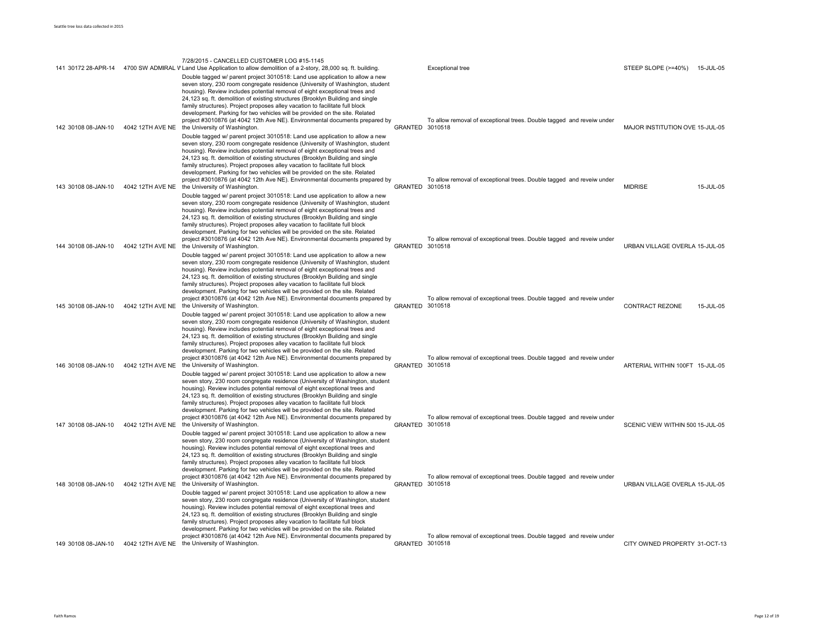|                     |                  | 7/28/2015 - CANCELLED CUSTOMER LOG #15-1145                                                                                                                                                                                                                                                                                                                                                                                                                                                                                                                                                                                                                                                  |                 |                                                                                  |                                  |
|---------------------|------------------|----------------------------------------------------------------------------------------------------------------------------------------------------------------------------------------------------------------------------------------------------------------------------------------------------------------------------------------------------------------------------------------------------------------------------------------------------------------------------------------------------------------------------------------------------------------------------------------------------------------------------------------------------------------------------------------------|-----------------|----------------------------------------------------------------------------------|----------------------------------|
| 141 30172 28-APR-14 |                  | 4700 SW ADMIRAL V Land Use Application to allow demolition of a 2-story, 28,000 sq. ft. building<br>Double tagged w/ parent project 3010518: Land use application to allow a new                                                                                                                                                                                                                                                                                                                                                                                                                                                                                                             |                 | <b>Exceptional tree</b>                                                          | STEEP SLOPE (>=40%)<br>15-JUL-05 |
| 142 30108 08-JAN-10 | 4042 12TH AVE NE | seven story, 230 room congregate residence (University of Washington, student<br>housing). Review includes potential removal of eight exceptional trees and<br>24,123 sq. ft. demolition of existing structures (Brooklyn Building and single<br>family structures). Project proposes alley vacation to facilitate full block<br>development. Parking for two vehicles will be provided on the site. Related<br>project #3010876 (at 4042 12th Ave NE). Environmental documents prepared by<br>the University of Washington.                                                                                                                                                                 | GRANTED 3010518 | To allow removal of exceptional trees. Double tagged and reveiw under            | MAJOR INSTITUTION OVE 15-JUL-05  |
| 143 30108 08-JAN-10 | 4042 12TH AVE NE | Double tagged w/ parent project 3010518: Land use application to allow a new<br>seven story, 230 room congregate residence (University of Washington, student<br>housing). Review includes potential removal of eight exceptional trees and<br>24,123 sq. ft. demolition of existing structures (Brooklyn Building and single<br>family structures). Project proposes alley vacation to facilitate full block<br>development. Parking for two vehicles will be provided on the site. Related<br>project #3010876 (at 4042 12th Ave NE). Environmental documents prepared by<br>the University of Washington.                                                                                 | GRANTED 3010518 | To allow removal of exceptional trees. Double tagged and reveiw under            | <b>MIDRISE</b><br>15-JUL-05      |
| 144 30108 08-JAN-10 | 4042 12TH AVE NE | Double tagged w/ parent project 3010518: Land use application to allow a new<br>seven story, 230 room congregate residence (University of Washington, student<br>housing). Review includes potential removal of eight exceptional trees and<br>24,123 sq. ft. demolition of existing structures (Brooklyn Building and single<br>family structures). Project proposes alley vacation to facilitate full block<br>development. Parking for two vehicles will be provided on the site. Related<br>project #3010876 (at 4042 12th Ave NE). Environmental documents prepared by<br>the University of Washington.<br>Double tagged w/ parent project 3010518: Land use application to allow a new | GRANTED         | To allow removal of exceptional trees. Double tagged and reveiw under<br>3010518 | URBAN VILLAGE OVERLA 15-JUL-05   |
| 145 30108 08-JAN-10 | 4042 12TH AVE NE | seven story, 230 room congregate residence (University of Washington, student<br>housing). Review includes potential removal of eight exceptional trees and<br>24,123 sq. ft. demolition of existing structures (Brooklyn Building and single<br>family structures). Project proposes alley vacation to facilitate full block<br>development. Parking for two vehicles will be provided on the site. Related<br>project #3010876 (at 4042 12th Ave NE). Environmental documents prepared by<br>the University of Washington.                                                                                                                                                                 | GRANTED 3010518 | To allow removal of exceptional trees. Double tagged and reveiw under            | CONTRACT REZONE<br>15-JUL-05     |
| 146 30108 08-JAN-10 | 4042 12TH AVE NE | Double tagged w/ parent project 3010518: Land use application to allow a new<br>seven story, 230 room congregate residence (University of Washington, student<br>housing). Review includes potential removal of eight exceptional trees and<br>24,123 sq. ft. demolition of existing structures (Brooklyn Building and single<br>family structures). Project proposes alley vacation to facilitate full block<br>development. Parking for two vehicles will be provided on the site. Related<br>project #3010876 (at 4042 12th Ave NE). Environmental documents prepared by<br>the University of Washington.                                                                                 | GRANTED 3010518 | To allow removal of exceptional trees. Double tagged and reveiw under            | ARTERIAL WITHIN 100FT 15-JUL-05  |
| 147 30108 08-JAN-10 | 4042 12TH AVE NE | Double tagged w/ parent project 3010518: Land use application to allow a new<br>seven story, 230 room congregate residence (University of Washington, student<br>housing). Review includes potential removal of eight exceptional trees and<br>24,123 sq. ft. demolition of existing structures (Brooklyn Building and single<br>family structures). Project proposes alley vacation to facilitate full block<br>development. Parking for two vehicles will be provided on the site. Related<br>project #3010876 (at 4042 12th Ave NE). Environmental documents prepared by<br>the University of Washington.                                                                                 | GRANTED 3010518 | To allow removal of exceptional trees. Double tagged and reveiw under            | SCENIC VIEW WITHIN 500 15-JUL-05 |
| 148 30108 08-JAN-10 | 4042 12TH AVE NE | Double tagged w/ parent project 3010518: Land use application to allow a new<br>seven story, 230 room congregate residence (University of Washington, student<br>housing). Review includes potential removal of eight exceptional trees and<br>24,123 sq. ft. demolition of existing structures (Brooklyn Building and single<br>family structures). Project proposes alley vacation to facilitate full block<br>development. Parking for two vehicles will be provided on the site. Related<br>project #3010876 (at 4042 12th Ave NE). Environmental documents prepared by<br>the University of Washington.                                                                                 | GRANTED 3010518 | To allow removal of exceptional trees. Double tagged and reveiw under            | URBAN VILLAGE OVERLA 15-JUL-05   |
|                     |                  | Double tagged w/ parent project 3010518: Land use application to allow a new<br>seven story, 230 room congregate residence (University of Washington, student<br>housing). Review includes potential removal of eight exceptional trees and<br>24,123 sq. ft. demolition of existing structures (Brooklyn Building and single<br>family structures). Project proposes alley vacation to facilitate full block<br>development. Parking for two vehicles will be provided on the site. Related<br>project #3010876 (at 4042 12th Ave NE). Environmental documents prepared by                                                                                                                  |                 | To allow removal of exceptional trees. Double tagged and reveiw under            |                                  |
| 149 30108 08-JAN-10 |                  | 4042 12TH AVE NE the University of Washington.                                                                                                                                                                                                                                                                                                                                                                                                                                                                                                                                                                                                                                               | GRANTED 3010518 |                                                                                  | CITY OWNED PROPERTY 31-OCT-13    |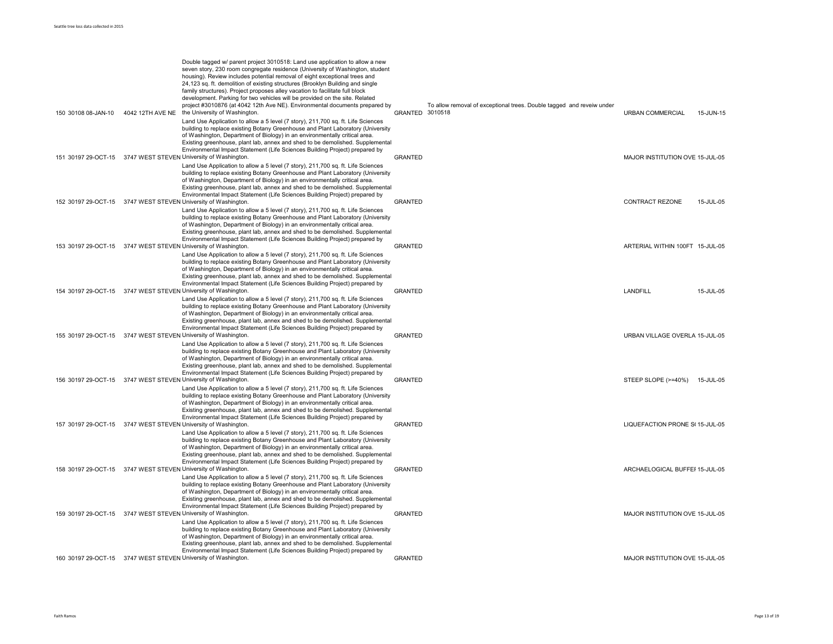| 150 30108 08-JAN-10 | Double tagged w/ parent project 3010518: Land use application to allow a new<br>seven story, 230 room congregate residence (University of Washington, student<br>housing). Review includes potential removal of eight exceptional trees and<br>24,123 sq. ft. demolition of existing structures (Brooklyn Building and single<br>family structures). Project proposes alley vacation to facilitate full block<br>development. Parking for two vehicles will be provided on the site. Related<br>project #3010876 (at 4042 12th Ave NE). Environmental documents prepared by<br>4042 12TH AVE NE the University of Washington. | GRANTED 3010518 | To allow removal of exceptional trees. Double tagged and reveiw under | URBAN COMMERCIAL                | 15-JUN-15 |
|---------------------|-------------------------------------------------------------------------------------------------------------------------------------------------------------------------------------------------------------------------------------------------------------------------------------------------------------------------------------------------------------------------------------------------------------------------------------------------------------------------------------------------------------------------------------------------------------------------------------------------------------------------------|-----------------|-----------------------------------------------------------------------|---------------------------------|-----------|
|                     | Land Use Application to allow a 5 level (7 story), 211,700 sq. ft. Life Sciences<br>building to replace existing Botany Greenhouse and Plant Laboratory (University<br>of Washington, Department of Biology) in an environmentally critical area.<br>Existing greenhouse, plant lab, annex and shed to be demolished. Supplemental<br>Environmental Impact Statement (Life Sciences Building Project) prepared by                                                                                                                                                                                                             |                 |                                                                       |                                 |           |
|                     | 151 30197 29-OCT-15 3747 WEST STEVEN University of Washington.<br>Land Use Application to allow a 5 level (7 story), 211,700 sq. ft. Life Sciences<br>building to replace existing Botany Greenhouse and Plant Laboratory (University<br>of Washington, Department of Biology) in an environmentally critical area.<br>Existing greenhouse, plant lab, annex and shed to be demolished. Supplemental<br>Environmental Impact Statement (Life Sciences Building Project) prepared by                                                                                                                                           | <b>GRANTED</b>  |                                                                       | MAJOR INSTITUTION OVE 15-JUL-05 |           |
|                     | 152 30197 29-OCT-15 3747 WEST STEVEN University of Washington.<br>Land Use Application to allow a 5 level (7 story), 211,700 sq. ft. Life Sciences<br>building to replace existing Botany Greenhouse and Plant Laboratory (University<br>of Washington, Department of Biology) in an environmentally critical area.<br>Existing greenhouse, plant lab, annex and shed to be demolished. Supplemental<br>Environmental Impact Statement (Life Sciences Building Project) prepared by                                                                                                                                           | <b>GRANTED</b>  |                                                                       | <b>CONTRACT REZONE</b>          | 15-JUL-05 |
|                     | 153 30197 29-OCT-15 3747 WEST STEVEN University of Washington.<br>Land Use Application to allow a 5 level (7 story), 211,700 sq. ft. Life Sciences<br>building to replace existing Botany Greenhouse and Plant Laboratory (University<br>of Washington, Department of Biology) in an environmentally critical area.<br>Existing greenhouse, plant lab, annex and shed to be demolished. Supplemental<br>Environmental Impact Statement (Life Sciences Building Project) prepared by                                                                                                                                           | <b>GRANTED</b>  |                                                                       | ARTERIAL WITHIN 100FT 15-JUL-05 |           |
|                     | 154 30197 29-OCT-15 3747 WEST STEVEN University of Washington.<br>Land Use Application to allow a 5 level (7 story), 211,700 sq. ft. Life Sciences<br>building to replace existing Botany Greenhouse and Plant Laboratory (University<br>of Washington, Department of Biology) in an environmentally critical area.<br>Existing greenhouse, plant lab, annex and shed to be demolished. Supplemental<br>Environmental Impact Statement (Life Sciences Building Project) prepared by                                                                                                                                           | <b>GRANTED</b>  |                                                                       | <b>LANDFILL</b>                 | 15-JUL-05 |
|                     | 155 30197 29-OCT-15 3747 WEST STEVEN University of Washington.<br>Land Use Application to allow a 5 level (7 story), 211,700 sq. ft. Life Sciences<br>building to replace existing Botany Greenhouse and Plant Laboratory (University<br>of Washington, Department of Biology) in an environmentally critical area.<br>Existing greenhouse, plant lab, annex and shed to be demolished. Supplemental<br>Environmental Impact Statement (Life Sciences Building Project) prepared by                                                                                                                                           | <b>GRANTED</b>  |                                                                       | URBAN VILLAGE OVERLA 15-JUL-05  |           |
|                     | 156 30197 29-OCT-15 3747 WEST STEVEN University of Washington.<br>Land Use Application to allow a 5 level (7 story), 211,700 sq. ft. Life Sciences<br>building to replace existing Botany Greenhouse and Plant Laboratory (University<br>of Washington, Department of Biology) in an environmentally critical area.<br>Existing greenhouse, plant lab, annex and shed to be demolished. Supplemental<br>Environmental Impact Statement (Life Sciences Building Project) prepared by                                                                                                                                           | <b>GRANTED</b>  |                                                                       | STEEP SLOPE (>=40%) 15-JUL-05   |           |
|                     | 157 30197 29-OCT-15 3747 WEST STEVEN University of Washington.<br>Land Use Application to allow a 5 level (7 story), 211,700 sq. ft. Life Sciences<br>building to replace existing Botany Greenhouse and Plant Laboratory (University<br>of Washington, Department of Biology) in an environmentally critical area.<br>Existing greenhouse, plant lab, annex and shed to be demolished. Supplemental<br>Environmental Impact Statement (Life Sciences Building Project) prepared by                                                                                                                                           | <b>GRANTED</b>  |                                                                       | LIQUEFACTION PRONE S(15-JUL-05  |           |
|                     | 158 30197 29-OCT-15 3747 WEST STEVEN University of Washington.<br>Land Use Application to allow a 5 level (7 story), 211,700 sq. ft. Life Sciences<br>building to replace existing Botany Greenhouse and Plant Laboratory (University<br>of Washington, Department of Biology) in an environmentally critical area.<br>Existing greenhouse, plant lab, annex and shed to be demolished. Supplemental<br>Environmental Impact Statement (Life Sciences Building Project) prepared by                                                                                                                                           | <b>GRANTED</b>  |                                                                       | ARCHAELOGICAL BUFFEI 15-JUL-05  |           |
|                     | 159 30197 29-OCT-15 3747 WEST STEVEN University of Washington.<br>Land Use Application to allow a 5 level (7 story), 211,700 sq. ft. Life Sciences<br>building to replace existing Botany Greenhouse and Plant Laboratory (University<br>of Washington, Department of Biology) in an environmentally critical area.<br>Existing greenhouse, plant lab, annex and shed to be demolished. Supplemental<br>Environmental Impact Statement (Life Sciences Building Project) prepared by                                                                                                                                           | <b>GRANTED</b>  |                                                                       | MAJOR INSTITUTION OVE 15-JUL-05 |           |
|                     | 160 30197 29-OCT-15 3747 WEST STEVEN University of Washington.                                                                                                                                                                                                                                                                                                                                                                                                                                                                                                                                                                | <b>GRANTED</b>  |                                                                       | MAJOR INSTITUTION OVE 15-JUL-05 |           |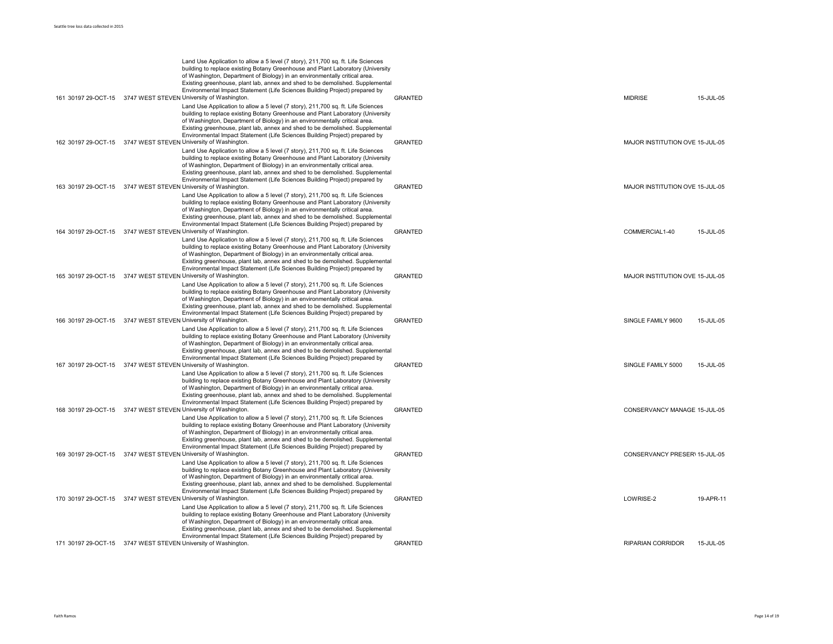|                     | Land Use Application to allow a 5 level (7 story), 211,700 sq. ft. Life Sciences<br>building to replace existing Botany Greenhouse and Plant Laboratory (University<br>of Washington, Department of Biology) in an environmentally critical area.<br>Existing greenhouse, plant lab, annex and shed to be demolished. Supplemental<br>Environmental Impact Statement (Life Sciences Building Project) prepared by<br>161 30197 29-OCT-15 3747 WEST STEVEN University of Washington. | <b>GRANTED</b> | <b>MIDRISE</b>                  | 15-JUL-05 |
|---------------------|-------------------------------------------------------------------------------------------------------------------------------------------------------------------------------------------------------------------------------------------------------------------------------------------------------------------------------------------------------------------------------------------------------------------------------------------------------------------------------------|----------------|---------------------------------|-----------|
|                     | Land Use Application to allow a 5 level (7 story), 211,700 sq. ft. Life Sciences<br>building to replace existing Botany Greenhouse and Plant Laboratory (University<br>of Washington, Department of Biology) in an environmentally critical area.<br>Existing greenhouse, plant lab, annex and shed to be demolished. Supplemental<br>Environmental Impact Statement (Life Sciences Building Project) prepared by<br>162 30197 29-OCT-15 3747 WEST STEVEN University of Washington. | <b>GRANTED</b> | MAJOR INSTITUTION OVE 15-JUL-05 |           |
|                     | Land Use Application to allow a 5 level (7 story), 211,700 sq. ft. Life Sciences<br>building to replace existing Botany Greenhouse and Plant Laboratory (University<br>of Washington, Department of Biology) in an environmentally critical area.<br>Existing greenhouse, plant lab, annex and shed to be demolished. Supplemental<br>Environmental Impact Statement (Life Sciences Building Project) prepared by                                                                   |                |                                 |           |
|                     | 163 30197 29-OCT-15 3747 WEST STEVEN University of Washington.<br>Land Use Application to allow a 5 level (7 story), 211,700 sq. ft. Life Sciences<br>building to replace existing Botany Greenhouse and Plant Laboratory (University<br>of Washington, Department of Biology) in an environmentally critical area.<br>Existing greenhouse, plant lab, annex and shed to be demolished. Supplemental<br>Environmental Impact Statement (Life Sciences Building Project) prepared by | GRANTED        | MAJOR INSTITUTION OVE 15-JUL-05 |           |
|                     | 164 30197 29-OCT-15 3747 WEST STEVEN University of Washington.<br>Land Use Application to allow a 5 level (7 story), 211,700 sq. ft. Life Sciences<br>building to replace existing Botany Greenhouse and Plant Laboratory (University<br>of Washington, Department of Biology) in an environmentally critical area.<br>Existing greenhouse, plant lab, annex and shed to be demolished. Supplemental<br>Environmental Impact Statement (Life Sciences Building Project) prepared by | <b>GRANTED</b> | COMMERCIAL1-40                  | 15-JUL-05 |
|                     | 165 30197 29-OCT-15 3747 WEST STEVEN University of Washington.<br>Land Use Application to allow a 5 level (7 story), 211,700 sq. ft. Life Sciences<br>building to replace existing Botany Greenhouse and Plant Laboratory (University<br>of Washington, Department of Biology) in an environmentally critical area.<br>Existing greenhouse, plant lab, annex and shed to be demolished. Supplemental<br>Environmental Impact Statement (Life Sciences Building Project) prepared by | GRANTED        | MAJOR INSTITUTION OVE 15-JUL-05 |           |
|                     | 166 30197 29-OCT-15 3747 WEST STEVEN University of Washington.<br>Land Use Application to allow a 5 level (7 story), 211,700 sq. ft. Life Sciences<br>building to replace existing Botany Greenhouse and Plant Laboratory (University<br>of Washington, Department of Biology) in an environmentally critical area.<br>Existing greenhouse, plant lab, annex and shed to be demolished. Supplemental<br>Environmental Impact Statement (Life Sciences Building Project) prepared by | <b>GRANTED</b> | SINGLE FAMILY 9600              | 15-JUL-05 |
|                     | 167 30197 29-OCT-15 3747 WEST STEVEN University of Washington.<br>Land Use Application to allow a 5 level (7 story), 211,700 sq. ft. Life Sciences<br>building to replace existing Botany Greenhouse and Plant Laboratory (University<br>of Washington, Department of Biology) in an environmentally critical area.<br>Existing greenhouse, plant lab, annex and shed to be demolished. Supplemental<br>Environmental Impact Statement (Life Sciences Building Project) prepared by | <b>GRANTED</b> | SINGLE FAMILY 5000              | 15-JUL-05 |
|                     | 168 30197 29-OCT-15 3747 WEST STEVEN University of Washington.<br>Land Use Application to allow a 5 level (7 story), 211,700 sq. ft. Life Sciences<br>building to replace existing Botany Greenhouse and Plant Laboratory (University<br>of Washington, Department of Biology) in an environmentally critical area.<br>Existing greenhouse, plant lab, annex and shed to be demolished. Supplemental<br>Environmental Impact Statement (Life Sciences Building Project) prepared by | <b>GRANTED</b> | CONSERVANCY MANAGE 15-JUL-05    |           |
|                     | 169 30197 29-OCT-15 3747 WEST STEVEN University of Washington.<br>Land Use Application to allow a 5 level (7 story), 211,700 sq. ft. Life Sciences<br>building to replace existing Botany Greenhouse and Plant Laboratory (University<br>of Washington, Department of Biology) in an environmentally critical area.<br>Existing greenhouse, plant lab, annex and shed to be demolished. Supplemental<br>Environmental Impact Statement (Life Sciences Building Project) prepared by | GRANTED        | CONSERVANCY PRESER\ 15-JUL-05   |           |
|                     | 170 30197 29-OCT-15 3747 WEST STEVEN University of Washington.<br>Land Use Application to allow a 5 level (7 story), 211,700 sq. ft. Life Sciences<br>building to replace existing Botany Greenhouse and Plant Laboratory (University<br>of Washington, Department of Biology) in an environmentally critical area.<br>Existing greenhouse, plant lab, annex and shed to be demolished. Supplemental<br>Environmental Impact Statement (Life Sciences Building Project) prepared by | GRANTED        | LOWRISE-2                       | 19-APR-11 |
| 171 30197 29-OCT-15 | 3747 WEST STEVEN University of Washington.                                                                                                                                                                                                                                                                                                                                                                                                                                          | <b>GRANTED</b> | <b>RIPARIAN CORRIDOR</b>        | 15-JUL-05 |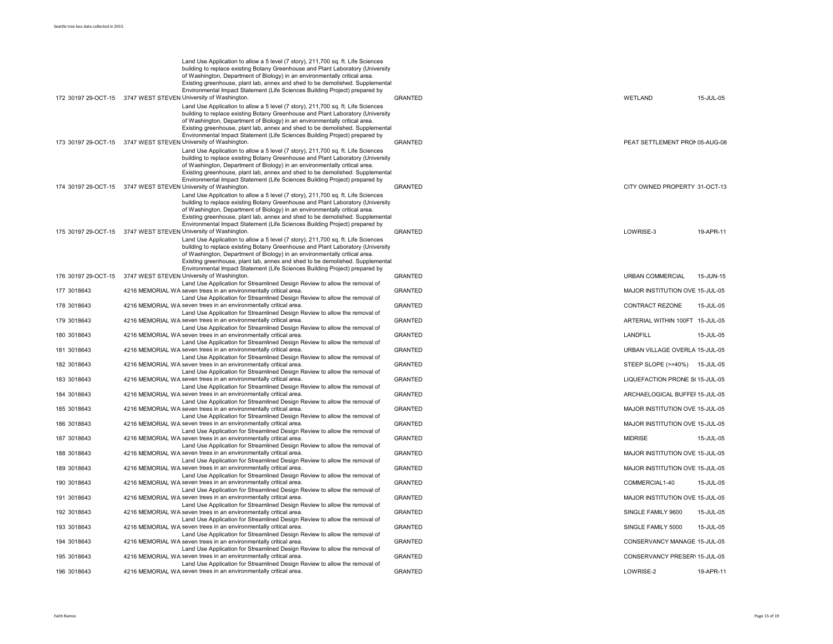|             | Land Use Application to allow a 5 level (7 story), 211,700 sq. ft. Life Sciences<br>building to replace existing Botany Greenhouse and Plant Laboratory (University<br>of Washington, Department of Biology) in an environmentally critical area.<br>Existing greenhouse, plant lab, annex and shed to be demolished. Supplemental<br>Environmental Impact Statement (Life Sciences Building Project) prepared by<br>172 30197 29-OCT-15 3747 WEST STEVEN University of Washington. | <b>GRANTED</b> | WETLAND                         | 15-JUL-05 |
|-------------|-------------------------------------------------------------------------------------------------------------------------------------------------------------------------------------------------------------------------------------------------------------------------------------------------------------------------------------------------------------------------------------------------------------------------------------------------------------------------------------|----------------|---------------------------------|-----------|
|             | Land Use Application to allow a 5 level (7 story), 211,700 sq. ft. Life Sciences<br>building to replace existing Botany Greenhouse and Plant Laboratory (University<br>of Washington, Department of Biology) in an environmentally critical area.<br>Existing greenhouse, plant lab, annex and shed to be demolished. Supplemental<br>Environmental Impact Statement (Life Sciences Building Project) prepared by<br>173 30197 29-OCT-15 3747 WEST STEVEN University of Washington. | <b>GRANTED</b> | PEAT SETTLEMENT PRON 05-AUG-08  |           |
|             | Land Use Application to allow a 5 level (7 story), 211,700 sq. ft. Life Sciences<br>building to replace existing Botany Greenhouse and Plant Laboratory (University<br>of Washington, Department of Biology) in an environmentally critical area.<br>Existing greenhouse, plant lab, annex and shed to be demolished. Supplemental<br>Environmental Impact Statement (Life Sciences Building Project) prepared by<br>174 30197 29-OCT-15 3747 WEST STEVEN University of Washington. | <b>GRANTED</b> | CITY OWNED PROPERTY 31-OCT-13   |           |
|             | Land Use Application to allow a 5 level (7 story), 211,700 sq. ft. Life Sciences<br>building to replace existing Botany Greenhouse and Plant Laboratory (University<br>of Washington, Department of Biology) in an environmentally critical area.<br>Existing greenhouse, plant lab, annex and shed to be demolished. Supplemental<br>Environmental Impact Statement (Life Sciences Building Project) prepared by                                                                   |                |                                 |           |
|             | 175 30197 29-OCT-15 3747 WEST STEVEN University of Washington.<br>Land Use Application to allow a 5 level (7 story), 211,700 sq. ft. Life Sciences<br>building to replace existing Botany Greenhouse and Plant Laboratory (University<br>of Washington, Department of Biology) in an environmentally critical area.<br>Existing greenhouse, plant lab, annex and shed to be demolished. Supplemental<br>Environmental Impact Statement (Life Sciences Building Project) prepared by | GRANTED        | LOWRISE-3                       | 19-APR-11 |
|             | 176 30197 29-OCT-15 3747 WEST STEVEN University of Washington.<br>Land Use Application for Streamlined Design Review to allow the removal of                                                                                                                                                                                                                                                                                                                                        | <b>GRANTED</b> | <b>URBAN COMMERCIAL</b>         | 15-JUN-15 |
| 177 3018643 | 4216 MEMORIAL WA seven trees in an environmentally critical area.<br>Land Use Application for Streamlined Design Review to allow the removal of                                                                                                                                                                                                                                                                                                                                     | <b>GRANTED</b> | MAJOR INSTITUTION OVE 15-JUL-05 |           |
| 178 3018643 | 4216 MEMORIAL WA seven trees in an environmentally critical area.<br>Land Use Application for Streamlined Design Review to allow the removal of                                                                                                                                                                                                                                                                                                                                     | <b>GRANTED</b> | CONTRACT REZONE                 | 15-JUL-05 |
| 179 3018643 | 4216 MEMORIAL WA seven trees in an environmentally critical area.<br>Land Use Application for Streamlined Design Review to allow the removal of                                                                                                                                                                                                                                                                                                                                     | <b>GRANTED</b> | ARTERIAL WITHIN 100FT 15-JUL-05 |           |
| 180 3018643 | 4216 MEMORIAL WA seven trees in an environmentally critical area.<br>Land Use Application for Streamlined Design Review to allow the removal of                                                                                                                                                                                                                                                                                                                                     | <b>GRANTED</b> | LANDFILL                        | 15-JUL-05 |
| 181 3018643 | 4216 MEMORIAL WA seven trees in an environmentally critical area.<br>Land Use Application for Streamlined Design Review to allow the removal of                                                                                                                                                                                                                                                                                                                                     | <b>GRANTED</b> | URBAN VILLAGE OVERLA 15-JUL-05  |           |
| 182 3018643 | 4216 MEMORIAL WA seven trees in an environmentally critical area.                                                                                                                                                                                                                                                                                                                                                                                                                   | <b>GRANTED</b> | STEEP SLOPE (>=40%)             | 15-JUL-05 |
| 183 3018643 | Land Use Application for Streamlined Design Review to allow the removal of<br>4216 MEMORIAL WA seven trees in an environmentally critical area.<br>Land Use Application for Streamlined Design Review to allow the removal of                                                                                                                                                                                                                                                       | <b>GRANTED</b> | LIQUEFACTION PRONE S(15-JUL-05  |           |
| 184 3018643 | 4216 MEMORIAL WA seven trees in an environmentally critical area.                                                                                                                                                                                                                                                                                                                                                                                                                   | <b>GRANTED</b> | ARCHAELOGICAL BUFFEI 15-JUL-05  |           |
| 185 3018643 | Land Use Application for Streamlined Design Review to allow the removal of<br>4216 MEMORIAL WA seven trees in an environmentally critical area.                                                                                                                                                                                                                                                                                                                                     | <b>GRANTED</b> | MAJOR INSTITUTION OVE 15-JUL-05 |           |
| 186 3018643 | Land Use Application for Streamlined Design Review to allow the removal of<br>4216 MEMORIAL WA seven trees in an environmentally critical area.                                                                                                                                                                                                                                                                                                                                     | <b>GRANTED</b> | MAJOR INSTITUTION OVE 15-JUL-05 |           |
| 187 3018643 | Land Use Application for Streamlined Design Review to allow the removal of<br>4216 MEMORIAL WA seven trees in an environmentally critical area.                                                                                                                                                                                                                                                                                                                                     | <b>GRANTED</b> | <b>MIDRISE</b>                  | 15-JUL-05 |
| 188 3018643 | Land Use Application for Streamlined Design Review to allow the removal of<br>4216 MEMORIAL WA seven trees in an environmentally critical area.                                                                                                                                                                                                                                                                                                                                     | <b>GRANTED</b> | MAJOR INSTITUTION OVE 15-JUL-05 |           |
| 189 3018643 | Land Use Application for Streamlined Design Review to allow the removal of<br>4216 MEMORIAL WA seven trees in an environmentally critical area.                                                                                                                                                                                                                                                                                                                                     | <b>GRANTED</b> | MAJOR INSTITUTION OVE 15-JUL-05 |           |
| 190 3018643 | Land Use Application for Streamlined Design Review to allow the removal of<br>4216 MEMORIAL WA seven trees in an environmentally critical area.                                                                                                                                                                                                                                                                                                                                     | <b>GRANTED</b> | COMMERCIAL1-40                  | 15-JUL-05 |
| 191 3018643 | Land Use Application for Streamlined Design Review to allow the removal of<br>4216 MEMORIAL WA seven trees in an environmentally critical area.                                                                                                                                                                                                                                                                                                                                     | <b>GRANTED</b> | MAJOR INSTITUTION OVE 15-JUL-05 |           |
| 192 3018643 | Land Use Application for Streamlined Design Review to allow the removal of<br>4216 MEMORIAL WA seven trees in an environmentally critical area.                                                                                                                                                                                                                                                                                                                                     | <b>GRANTED</b> | SINGLE FAMILY 9600              | 15-JUL-05 |
| 193 3018643 | Land Use Application for Streamlined Design Review to allow the removal of<br>4216 MEMORIAL WA seven trees in an environmentally critical area.                                                                                                                                                                                                                                                                                                                                     | <b>GRANTED</b> | SINGLE FAMILY 5000              | 15-JUL-05 |
| 194 3018643 | Land Use Application for Streamlined Design Review to allow the removal of<br>4216 MEMORIAL WA seven trees in an environmentally critical area.                                                                                                                                                                                                                                                                                                                                     | <b>GRANTED</b> | CONSERVANCY MANAGE 15-JUL-05    |           |
| 195 3018643 | Land Use Application for Streamlined Design Review to allow the removal of<br>4216 MEMORIAL WA seven trees in an environmentally critical area.                                                                                                                                                                                                                                                                                                                                     | <b>GRANTED</b> | CONSERVANCY PRESER\ 15-JUL-05   |           |
| 196 3018643 | Land Use Application for Streamlined Design Review to allow the removal of<br>4216 MEMORIAL WA seven trees in an environmentally critical area.                                                                                                                                                                                                                                                                                                                                     | <b>GRANTED</b> | LOWRISE-2                       | 19-APR-11 |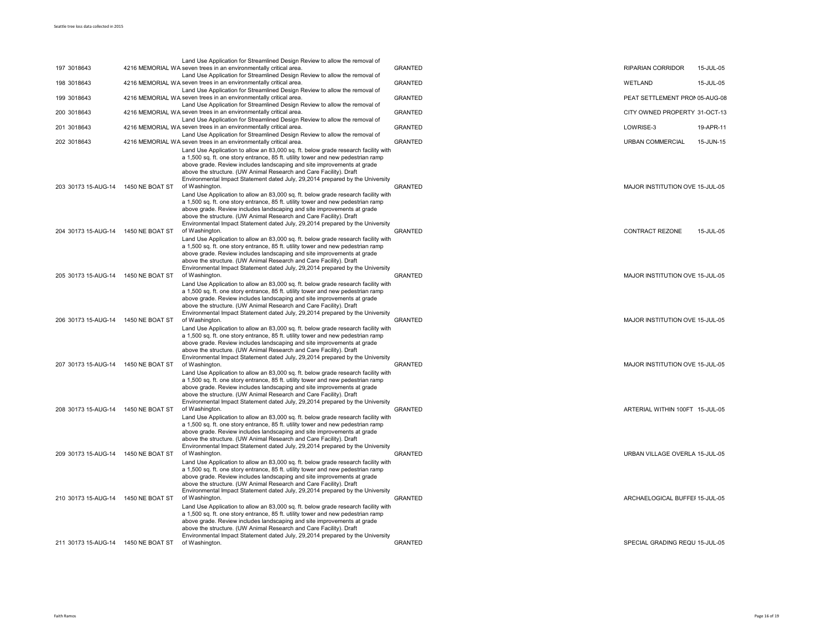|                                     |                 | Land Use Application for Streamlined Design Review to allow the removal of                                                                                                                                                                                                                                                                                                                                                 |                |                                 |           |
|-------------------------------------|-----------------|----------------------------------------------------------------------------------------------------------------------------------------------------------------------------------------------------------------------------------------------------------------------------------------------------------------------------------------------------------------------------------------------------------------------------|----------------|---------------------------------|-----------|
| 197 3018643                         |                 | 4216 MEMORIAL WA seven trees in an environmentally critical area.<br>Land Use Application for Streamlined Design Review to allow the removal of                                                                                                                                                                                                                                                                            | <b>GRANTED</b> | <b>RIPARIAN CORRIDOR</b>        | 15-JUL-05 |
| 198 3018643                         |                 | 4216 MEMORIAL WA seven trees in an environmentally critical area.<br>Land Use Application for Streamlined Design Review to allow the removal of                                                                                                                                                                                                                                                                            | <b>GRANTED</b> | WETLAND                         | 15-JUL-05 |
| 199 3018643                         |                 | 4216 MEMORIAL WA seven trees in an environmentally critical area.<br>Land Use Application for Streamlined Design Review to allow the removal of                                                                                                                                                                                                                                                                            | <b>GRANTED</b> | PEAT SETTLEMENT PRON 05-AUG-08  |           |
| 200 3018643                         |                 | 4216 MEMORIAL WA seven trees in an environmentally critical area.<br>Land Use Application for Streamlined Design Review to allow the removal of                                                                                                                                                                                                                                                                            | <b>GRANTED</b> | CITY OWNED PROPERTY 31-OCT-13   |           |
| 201 3018643                         |                 | 4216 MEMORIAL WA seven trees in an environmentally critical area.<br>Land Use Application for Streamlined Design Review to allow the removal of                                                                                                                                                                                                                                                                            | <b>GRANTED</b> | LOWRISE-3                       | 19-APR-11 |
| 202 3018643                         |                 | 4216 MEMORIAL WA seven trees in an environmentally critical area.                                                                                                                                                                                                                                                                                                                                                          | <b>GRANTED</b> | <b>URBAN COMMERCIAL</b>         | 15-JUN-15 |
| 203 30173 15-AUG-14                 | 1450 NE BOAT ST | Land Use Application to allow an 83,000 sq. ft. below grade research facility with<br>a 1,500 sq. ft. one story entrance, 85 ft. utility tower and new pedestrian ramp<br>above grade. Review includes landscaping and site improvements at grade<br>above the structure. (UW Animal Research and Care Facility). Draft<br>Environmental Impact Statement dated July, 29,2014 prepared by the University<br>of Washington. | <b>GRANTED</b> | MAJOR INSTITUTION OVE 15-JUL-05 |           |
|                                     |                 | Land Use Application to allow an 83,000 sq. ft. below grade research facility with<br>a 1,500 sq. ft. one story entrance, 85 ft. utility tower and new pedestrian ramp<br>above grade. Review includes landscaping and site improvements at grade<br>above the structure. (UW Animal Research and Care Facility). Draft<br>Environmental Impact Statement dated July, 29,2014 prepared by the University                   |                |                                 |           |
| 204 30173 15-AUG-14 1450 NE BOAT ST |                 | of Washington.                                                                                                                                                                                                                                                                                                                                                                                                             | <b>GRANTED</b> | <b>CONTRACT REZONE</b>          | 15-JUL-05 |
|                                     |                 | Land Use Application to allow an 83,000 sq. ft. below grade research facility with<br>a 1,500 sq. ft. one story entrance, 85 ft. utility tower and new pedestrian ramp<br>above grade. Review includes landscaping and site improvements at grade<br>above the structure. (UW Animal Research and Care Facility). Draft<br>Environmental Impact Statement dated July, 29,2014 prepared by the University                   |                |                                 |           |
| 205 30173 15-AUG-14 1450 NE BOAT ST |                 | of Washington.                                                                                                                                                                                                                                                                                                                                                                                                             | <b>GRANTED</b> | MAJOR INSTITUTION OVE 15-JUL-05 |           |
|                                     |                 | Land Use Application to allow an 83,000 sq. ft. below grade research facility with<br>a 1,500 sq. ft. one story entrance, 85 ft. utility tower and new pedestrian ramp<br>above grade. Review includes landscaping and site improvements at grade<br>above the structure. (UW Animal Research and Care Facility). Draft<br>Environmental Impact Statement dated July, 29,2014 prepared by the University                   |                |                                 |           |
| 206 30173 15-AUG-14                 | 1450 NE BOAT ST | of Washington.<br>Land Use Application to allow an 83,000 sq. ft. below grade research facility with<br>a 1,500 sq. ft. one story entrance, 85 ft. utility tower and new pedestrian ramp<br>above grade. Review includes landscaping and site improvements at grade<br>above the structure. (UW Animal Research and Care Facility). Draft<br>Environmental Impact Statement dated July, 29,2014 prepared by the University | <b>GRANTED</b> | MAJOR INSTITUTION OVE 15-JUL-05 |           |
| 207 30173 15-AUG-14 1450 NE BOAT ST |                 | of Washington.                                                                                                                                                                                                                                                                                                                                                                                                             | <b>GRANTED</b> | MAJOR INSTITUTION OVE 15-JUL-05 |           |
|                                     |                 | Land Use Application to allow an 83,000 sq. ft. below grade research facility with<br>a 1,500 sq. ft. one story entrance, 85 ft. utility tower and new pedestrian ramp<br>above grade. Review includes landscaping and site improvements at grade<br>above the structure. (UW Animal Research and Care Facility). Draft<br>Environmental Impact Statement dated July, 29,2014 prepared by the University                   |                |                                 |           |
| 208 30173 15-AUG-14 1450 NE BOAT ST |                 | of Washington.<br>Land Use Application to allow an 83,000 sq. ft. below grade research facility with                                                                                                                                                                                                                                                                                                                       | <b>GRANTED</b> | ARTERIAL WITHIN 100FT 15-JUL-05 |           |
|                                     |                 | a 1,500 sq. ft. one story entrance, 85 ft. utility tower and new pedestrian ramp<br>above grade. Review includes landscaping and site improvements at grade<br>above the structure. (UW Animal Research and Care Facility). Draft<br>Environmental Impact Statement dated July, 29,2014 prepared by the University                                                                                                         |                |                                 |           |
| 209 30173 15-AUG-14                 | 1450 NE BOAT ST | of Washington.<br>Land Use Application to allow an 83,000 sq. ft. below grade research facility with                                                                                                                                                                                                                                                                                                                       | <b>GRANTED</b> | URBAN VILLAGE OVERLA 15-JUL-05  |           |
| 210 30173 15-AUG-14 1450 NE BOAT ST |                 | a 1,500 sq. ft. one story entrance, 85 ft. utility tower and new pedestrian ramp<br>above grade. Review includes landscaping and site improvements at grade<br>above the structure. (UW Animal Research and Care Facility). Draft<br>Environmental Impact Statement dated July, 29,2014 prepared by the University<br>of Washington.                                                                                       | <b>GRANTED</b> | ARCHAELOGICAL BUFFEI 15-JUL-05  |           |
|                                     |                 | Land Use Application to allow an 83,000 sq. ft. below grade research facility with<br>a 1,500 sq. ft. one story entrance, 85 ft. utility tower and new pedestrian ramp<br>above grade. Review includes landscaping and site improvements at grade<br>above the structure. (UW Animal Research and Care Facility). Draft<br>Environmental Impact Statement dated July, 29, 2014 prepared by the University                  |                |                                 |           |
| 211 30173 15-AUG-14 1450 NE BOAT ST |                 | of Washington.                                                                                                                                                                                                                                                                                                                                                                                                             | <b>GRANTED</b> | SPECIAL GRADING REQU 15-JUL-05  |           |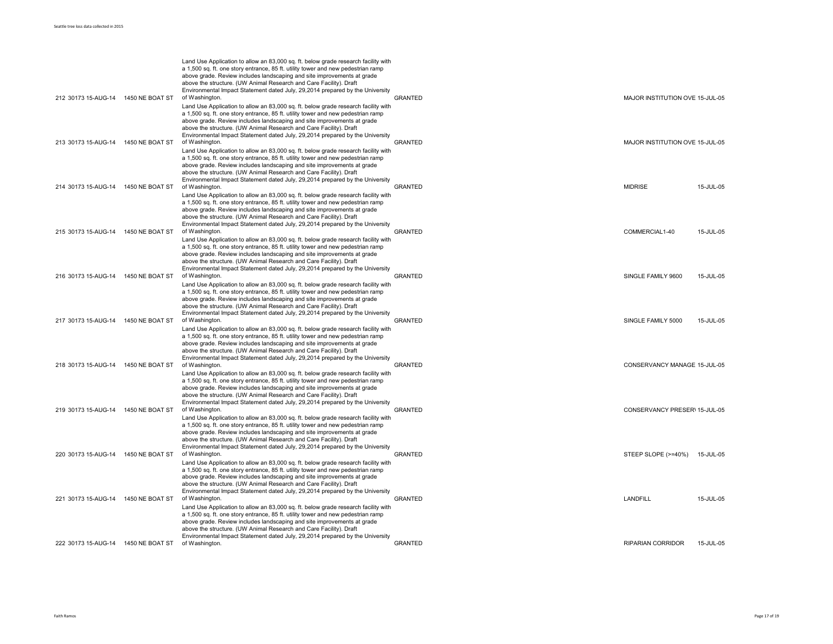| 212 30173 15-AUG-14 1450 NE BOAT ST |                 | Land Use Application to allow an 83,000 sq. ft. below grade research facility with<br>a 1,500 sq. ft. one story entrance, 85 ft. utility tower and new pedestrian ramp<br>above grade. Review includes landscaping and site improvements at grade<br>above the structure. (UW Animal Research and Care Facility). Draft<br>Environmental Impact Statement dated July, 29,2014 prepared by the University<br>of Washington.                                                                                  | <b>GRANTED</b> | MAJOR INSTITUTION OVE 15-JUL-05 |           |
|-------------------------------------|-----------------|-------------------------------------------------------------------------------------------------------------------------------------------------------------------------------------------------------------------------------------------------------------------------------------------------------------------------------------------------------------------------------------------------------------------------------------------------------------------------------------------------------------|----------------|---------------------------------|-----------|
|                                     |                 | Land Use Application to allow an 83,000 sq. ft. below grade research facility with<br>a 1,500 sq. ft. one story entrance, 85 ft. utility tower and new pedestrian ramp<br>above grade. Review includes landscaping and site improvements at grade<br>above the structure. (UW Animal Research and Care Facility). Draft<br>Environmental Impact Statement dated July, 29,2014 prepared by the University<br>of Washington.                                                                                  | <b>GRANTED</b> |                                 |           |
| 213 30173 15-AUG-14                 | 1450 NE BOAT ST | Land Use Application to allow an 83,000 sq. ft. below grade research facility with<br>a 1,500 sq. ft. one story entrance, 85 ft. utility tower and new pedestrian ramp<br>above grade. Review includes landscaping and site improvements at grade<br>above the structure. (UW Animal Research and Care Facility). Draft<br>Environmental Impact Statement dated July, 29,2014 prepared by the University                                                                                                    |                | MAJOR INSTITUTION OVE 15-JUL-05 |           |
| 214 30173 15-AUG-14 1450 NE BOAT ST |                 | of Washington.<br>Land Use Application to allow an 83,000 sq. ft. below grade research facility with<br>a 1,500 sq. ft. one story entrance, 85 ft. utility tower and new pedestrian ramp<br>above grade. Review includes landscaping and site improvements at grade<br>above the structure. (UW Animal Research and Care Facility). Draft<br>Environmental Impact Statement dated July, 29,2014 prepared by the University                                                                                  | <b>GRANTED</b> | <b>MIDRISE</b>                  | 15-JUL-05 |
| 215 30173 15-AUG-14                 | 1450 NE BOAT ST | of Washington.<br>Land Use Application to allow an 83,000 sq. ft. below grade research facility with<br>a 1,500 sq. ft. one story entrance, 85 ft. utility tower and new pedestrian ramp<br>above grade. Review includes landscaping and site improvements at grade<br>above the structure. (UW Animal Research and Care Facility). Draft                                                                                                                                                                   | <b>GRANTED</b> | COMMERCIAL1-40                  | 15-JUL-05 |
| 216 30173 15-AUG-14 1450 NE BOAT ST |                 | Environmental Impact Statement dated July, 29,2014 prepared by the University<br>of Washington.<br>Land Use Application to allow an 83,000 sq. ft. below grade research facility with<br>a 1,500 sq. ft. one story entrance, 85 ft. utility tower and new pedestrian ramp<br>above grade. Review includes landscaping and site improvements at grade<br>above the structure. (UW Animal Research and Care Facility). Draft                                                                                  | <b>GRANTED</b> | SINGLE FAMILY 9600              | 15-JUL-05 |
| 217 30173 15-AUG-14 1450 NE BOAT ST |                 | Environmental Impact Statement dated July, 29,2014 prepared by the University<br>of Washington.<br>Land Use Application to allow an 83,000 sq. ft. below grade research facility with<br>a 1,500 sq. ft. one story entrance, 85 ft. utility tower and new pedestrian ramp<br>above grade. Review includes landscaping and site improvements at grade<br>above the structure. (UW Animal Research and Care Facility). Draft                                                                                  | <b>GRANTED</b> | SINGLE FAMILY 5000              | 15-JUL-05 |
| 218 30173 15-AUG-14 1450 NE BOAT ST |                 | Environmental Impact Statement dated July, 29,2014 prepared by the University<br>of Washington.<br>Land Use Application to allow an 83,000 sq. ft. below grade research facility with<br>a 1,500 sq. ft. one story entrance, 85 ft. utility tower and new pedestrian ramp<br>above grade. Review includes landscaping and site improvements at grade<br>above the structure. (UW Animal Research and Care Facility). Draft                                                                                  | <b>GRANTED</b> | CONSERVANCY MANAGE 15-JUL-05    |           |
| 219 30173 15-AUG-14                 | 1450 NE BOAT ST | Environmental Impact Statement dated July, 29,2014 prepared by the University<br>of Washington.<br>Land Use Application to allow an 83,000 sq. ft. below grade research facility with<br>a 1,500 sq. ft. one story entrance, 85 ft. utility tower and new pedestrian ramp<br>above grade. Review includes landscaping and site improvements at grade<br>above the structure. (UW Animal Research and Care Facility). Draft<br>Environmental Impact Statement dated July, 29,2014 prepared by the University | <b>GRANTED</b> | CONSERVANCY PRESER\ 15-JUL-05   |           |
| 220 30173 15-AUG-14 1450 NE BOAT ST |                 | of Washington.<br>Land Use Application to allow an 83,000 sq. ft. below grade research facility with<br>a 1,500 sq. ft. one story entrance, 85 ft. utility tower and new pedestrian ramp<br>above grade. Review includes landscaping and site improvements at grade<br>above the structure. (UW Animal Research and Care Facility). Draft                                                                                                                                                                   | <b>GRANTED</b> | STEEP SLOPE (>=40%)             | 15-JUL-05 |
| 221 30173 15-AUG-14 1450 NE BOAT ST |                 | Environmental Impact Statement dated July, 29,2014 prepared by the University<br>of Washington<br>Land Use Application to allow an 83,000 sq. ft. below grade research facility with<br>a 1,500 sq. ft. one story entrance, 85 ft. utility tower and new pedestrian ramp<br>above grade. Review includes landscaping and site improvements at grade<br>above the structure. (UW Animal Research and Care Facility). Draft                                                                                   | <b>GRANTED</b> | LANDFILL                        | 15-JUL-05 |
| 222 30173 15-AUG-14 1450 NE BOAT ST |                 | Environmental Impact Statement dated July, 29,2014 prepared by the University<br>of Washington.                                                                                                                                                                                                                                                                                                                                                                                                             | <b>GRANTED</b> | <b>RIPARIAN CORRIDOR</b>        | 15-JUL-05 |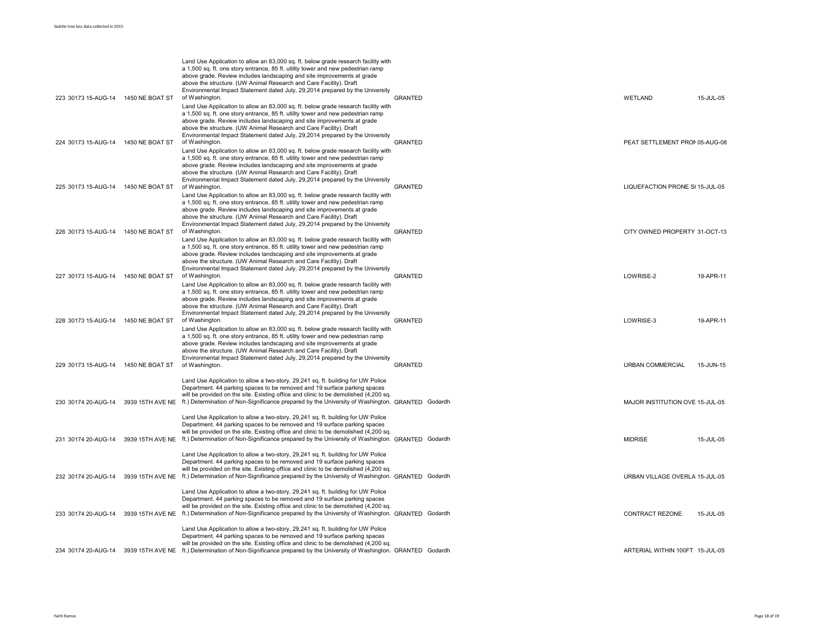| 223 30173 15-AUG-14 1450 NE BOAT ST | Land Use Application to allow an 83,000 sq. ft. below grade research facility with<br>a 1,500 sq. ft. one story entrance, 85 ft. utility tower and new pedestrian ramp<br>above grade. Review includes landscaping and site improvements at grade<br>above the structure. (UW Animal Research and Care Facility). Draft<br>Environmental Impact Statement dated July, 29,2014 prepared by the University<br>of Washington. | <b>GRANTED</b> | <b>WETLAND</b>                  | 15-JUL-05 |
|-------------------------------------|----------------------------------------------------------------------------------------------------------------------------------------------------------------------------------------------------------------------------------------------------------------------------------------------------------------------------------------------------------------------------------------------------------------------------|----------------|---------------------------------|-----------|
| 224 30173 15-AUG-14 1450 NE BOAT ST | Land Use Application to allow an 83,000 sq. ft. below grade research facility with<br>a 1,500 sq. ft. one story entrance, 85 ft. utility tower and new pedestrian ramp<br>above grade. Review includes landscaping and site improvements at grade<br>above the structure. (UW Animal Research and Care Facility). Draft<br>Environmental Impact Statement dated July, 29,2014 prepared by the University<br>of Washington. | <b>GRANTED</b> | PEAT SETTLEMENT PRON 05-AUG-08  |           |
|                                     | Land Use Application to allow an 83,000 sq. ft. below grade research facility with<br>a 1,500 sq. ft. one story entrance, 85 ft. utility tower and new pedestrian ramp<br>above grade. Review includes landscaping and site improvements at grade<br>above the structure. (UW Animal Research and Care Facility). Draft<br>Environmental Impact Statement dated July, 29,2014 prepared by the University                   |                |                                 |           |
| 225 30173 15-AUG-14 1450 NE BOAT ST | of Washington.<br>Land Use Application to allow an 83,000 sq. ft. below grade research facility with<br>a 1,500 sq. ft. one story entrance, 85 ft. utility tower and new pedestrian ramp<br>above grade. Review includes landscaping and site improvements at grade<br>above the structure. (UW Animal Research and Care Facility). Draft<br>Environmental Impact Statement dated July, 29,2014 prepared by the University | <b>GRANTED</b> | LIQUEFACTION PRONE S(15-JUL-05  |           |
| 226 30173 15-AUG-14 1450 NE BOAT ST | of Washington.<br>Land Use Application to allow an 83,000 sq. ft. below grade research facility with<br>a 1,500 sq. ft. one story entrance, 85 ft. utility tower and new pedestrian ramp<br>above grade. Review includes landscaping and site improvements at grade<br>above the structure. (UW Animal Research and Care Facility). Draft                                                                                  | <b>GRANTED</b> | CITY OWNED PROPERTY 31-OCT-13   |           |
| 227 30173 15-AUG-14 1450 NE BOAT ST | Environmental Impact Statement dated July, 29,2014 prepared by the University<br>of Washington.<br>Land Use Application to allow an 83,000 sq. ft. below grade research facility with<br>a 1,500 sq. ft. one story entrance, 85 ft. utility tower and new pedestrian ramp<br>above grade. Review includes landscaping and site improvements at grade<br>above the structure. (UW Animal Research and Care Facility). Draft | <b>GRANTED</b> | LOWRISE-2                       | 19-APR-11 |
| 228 30173 15-AUG-14 1450 NE BOAT ST | Environmental Impact Statement dated July, 29,2014 prepared by the University<br>of Washington.<br>Land Use Application to allow an 83,000 sq. ft. below grade research facility with<br>a 1,500 sq. ft. one story entrance, 85 ft. utility tower and new pedestrian ramp<br>above grade. Review includes landscaping and site improvements at grade<br>above the structure. (UW Animal Research and Care Facility). Draft | <b>GRANTED</b> | LOWRISE-3                       | 19-APR-11 |
| 229 30173 15-AUG-14 1450 NE BOAT ST | Environmental Impact Statement dated July, 29,2014 prepared by the University<br>of Washington.<br>Land Use Application to allow a two-story, 29,241 sq. ft. building for UW Police<br>Department. 44 parking spaces to be removed and 19 surface parking spaces                                                                                                                                                           | <b>GRANTED</b> | <b>URBAN COMMERCIAL</b>         | 15-JUN-15 |
|                                     | will be provided on the site. Existing office and clinic to be demolished (4,200 sq.<br>230 30174 20-AUG-14 3939 15TH AVE NE ft.) Determination of Non-Significance prepared by the University of Washington. GRANTED Godardh<br>Land Use Application to allow a two-story, 29,241 sq. ft. building for UW Police<br>Department. 44 parking spaces to be removed and 19 surface parking spaces                             |                | MAJOR INSTITUTION OVE 15-JUL-05 |           |
|                                     | will be provided on the site. Existing office and clinic to be demolished (4,200 sq.<br>231 30174 20-AUG-14 3939 15TH AVE NE ft.) Determination of Non-Significance prepared by the University of Washington. GRANTED Godardh<br>Land Use Application to allow a two-story, 29,241 sq. ft. building for UW Police<br>Department. 44 parking spaces to be removed and 19 surface parking spaces                             |                | <b>MIDRISE</b>                  | 15-JUL-05 |
|                                     | will be provided on the site. Existing office and clinic to be demolished (4,200 sq.<br>232 30174 20-AUG-14 3939 15TH AVE NE ft.) Determination of Non-Significance prepared by the University of Washington. GRANTED Godardh<br>Land Use Application to allow a two-story, 29,241 sq. ft. building for UW Police<br>Department. 44 parking spaces to be removed and 19 surface parking spaces                             |                | URBAN VILLAGE OVERLA 15-JUL-05  |           |
|                                     | will be provided on the site. Existing office and clinic to be demolished (4,200 sq.<br>233 30174 20-AUG-14 3939 15TH AVE NE ft.) Determination of Non-Significance prepared by the University of Washington. GRANTED Godardh<br>Land Use Application to allow a two-story, 29,241 sq. ft. building for UW Police<br>Department. 44 parking spaces to be removed and 19 surface parking spaces                             |                | CONTRACT REZONE                 | 15-JUL-05 |
|                                     | will be provided on the site. Existing office and clinic to be demolished (4,200 sq.<br>234 30174 20-AUG-14 3939 15TH AVE NE ft.) Determination of Non-Significance prepared by the University of Washington. GRANTED Godardh                                                                                                                                                                                              |                | ARTERIAL WITHIN 100FT 15-JUL-05 |           |